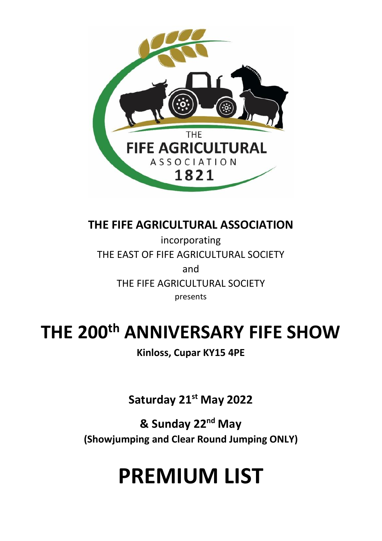

**THE FIFE AGRICULTURAL ASSOCIATION**

incorporating THE EAST OF FIFE AGRICULTURAL SOCIETY and THE FIFE AGRICULTURAL SOCIETY presents

# **THE 200th ANNIVERSARY FIFE SHOW**

**Kinloss, Cupar KY15 4PE**

**Saturday 21st May 2022**

**& Sunday 22nd May (Showjumping and Clear Round Jumping ONLY)**

# **PREMIUM LIST**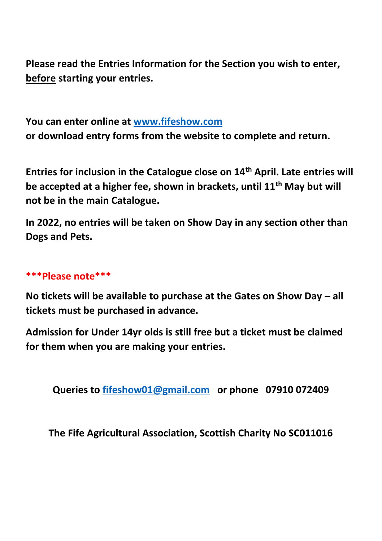**Please read the Entries Information for the Section you wish to enter, before starting your entries.** 

**You can enter online at [www.fifeshow.com](http://www.fifeshow.com/)  or download entry forms from the website to complete and return.** 

**Entries for inclusion in the Catalogue close on 14th April. Late entries will be accepted at a higher fee, shown in brackets, until 11th May but will not be in the main Catalogue.**

**In 2022, no entries will be taken on Show Day in any section other than Dogs and Pets.** 

## **\*\*\*Please note\*\*\***

**No tickets will be available to purchase at the Gates on Show Day – all tickets must be purchased in advance.** 

**Admission for Under 14yr olds is still free but a ticket must be claimed for them when you are making your entries.** 

**Queries to [fifeshow01@gmail.com](mailto:fifeshow01@gmail.com) or phone 07910 072409**

**The Fife Agricultural Association, Scottish Charity No SC011016**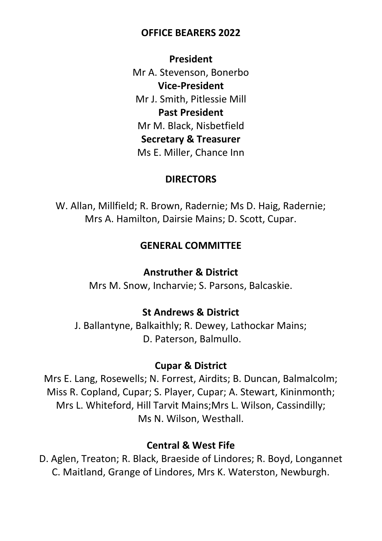## **OFFICE BEARERS 2022**

**President** Mr A. Stevenson, Bonerbo **Vice-President** Mr J. Smith, Pitlessie Mill **Past President** Mr M. Black, Nisbetfield **Secretary & Treasurer** Ms E. Miller, Chance Inn

## **DIRECTORS**

W. Allan, Millfield; R. Brown, Radernie; Ms D. Haig, Radernie; Mrs A. Hamilton, Dairsie Mains; D. Scott, Cupar.

## **GENERAL COMMITTEE**

## **Anstruther & District**

Mrs M. Snow, Incharvie; S. Parsons, Balcaskie.

## **St Andrews & District**

J. Ballantyne, Balkaithly; R. Dewey, Lathockar Mains; D. Paterson, Balmullo.

## **Cupar & District**

Mrs E. Lang, Rosewells; N. Forrest, Airdits; B. Duncan, Balmalcolm; Miss R. Copland, Cupar; S. Player, Cupar; A. Stewart, Kininmonth; Mrs L. Whiteford, Hill Tarvit Mains;Mrs L. Wilson, Cassindilly; Ms N. Wilson, Westhall.

## **Central & West Fife**

D. Aglen, Treaton; R. Black, Braeside of Lindores; R. Boyd, Longannet C. Maitland, Grange of Lindores, Mrs K. Waterston, Newburgh.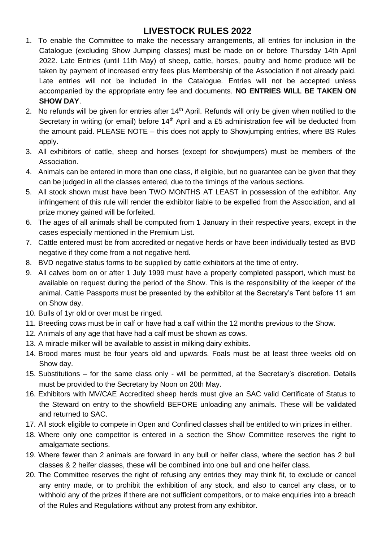## **LIVESTOCK RULES 2022**

- 1. To enable the Committee to make the necessary arrangements, all entries for inclusion in the Catalogue (excluding Show Jumping classes) must be made on or before Thursday 14th April 2022. Late Entries (until 11th May) of sheep, cattle, horses, poultry and home produce will be taken by payment of increased entry fees plus Membership of the Association if not already paid. Late entries will not be included in the Catalogue. Entries will not be accepted unless accompanied by the appropriate entry fee and documents. **NO ENTRIES WILL BE TAKEN ON SHOW DAY**.
- 2. No refunds will be given for entries after  $14<sup>th</sup>$  April. Refunds will only be given when notified to the Secretary in writing (or email) before  $14<sup>th</sup>$  April and a £5 administration fee will be deducted from the amount paid. PLEASE NOTE – this does not apply to Showjumping entries, where BS Rules apply.
- 3. All exhibitors of cattle, sheep and horses (except for showjumpers) must be members of the Association.
- 4. Animals can be entered in more than one class, if eligible, but no guarantee can be given that they can be judged in all the classes entered, due to the timings of the various sections.
- 5. All stock shown must have been TWO MONTHS AT LEAST in possession of the exhibitor. Any infringement of this rule will render the exhibitor liable to be expelled from the Association, and all prize money gained will be forfeited.
- 6. The ages of all animals shall be computed from 1 January in their respective years, except in the cases especially mentioned in the Premium List.
- 7. Cattle entered must be from accredited or negative herds or have been individually tested as BVD negative if they come from a not negative herd.
- 8. BVD negative status forms to be supplied by cattle exhibitors at the time of entry.
- 9. All calves born on or after 1 July 1999 must have a properly completed passport, which must be available on request during the period of the Show. This is the responsibility of the keeper of the animal. Cattle Passports must be presented by the exhibitor at the Secretary's Tent before 11 am on Show day.
- 10. Bulls of 1yr old or over must be ringed.
- 11. Breeding cows must be in calf or have had a calf within the 12 months previous to the Show.
- 12. Animals of any age that have had a calf must be shown as cows.
- 13. A miracle milker will be available to assist in milking dairy exhibits.
- 14. Brood mares must be four years old and upwards. Foals must be at least three weeks old on Show day.
- 15. Substitutions for the same class only will be permitted, at the Secretary's discretion. Details must be provided to the Secretary by Noon on 20th May.
- 16. Exhibitors with MV/CAE Accredited sheep herds must give an SAC valid Certificate of Status to the Steward on entry to the showfield BEFORE unloading any animals. These will be validated and returned to SAC.
- 17. All stock eligible to compete in Open and Confined classes shall be entitled to win prizes in either.
- 18. Where only one competitor is entered in a section the Show Committee reserves the right to amalgamate sections.
- 19. Where fewer than 2 animals are forward in any bull or heifer class, where the section has 2 bull classes & 2 heifer classes, these will be combined into one bull and one heifer class.
- 20. The Committee reserves the right of refusing any entries they may think fit, to exclude or cancel any entry made, or to prohibit the exhibition of any stock, and also to cancel any class, or to withhold any of the prizes if there are not sufficient competitors, or to make enquiries into a breach of the Rules and Regulations without any protest from any exhibitor.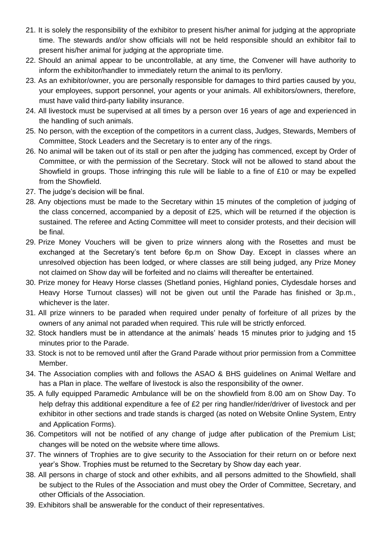- 21. It is solely the responsibility of the exhibitor to present his/her animal for judging at the appropriate time. The stewards and/or show officials will not be held responsible should an exhibitor fail to present his/her animal for judging at the appropriate time.
- 22. Should an animal appear to be uncontrollable, at any time, the Convener will have authority to inform the exhibitor/handler to immediately return the animal to its pen/lorry.
- 23. As an exhibitor/owner, you are personally responsible for damages to third parties caused by you, your employees, support personnel, your agents or your animals. All exhibitors/owners, therefore, must have valid third-party liability insurance.
- 24. All livestock must be supervised at all times by a person over 16 years of age and experienced in the handling of such animals.
- 25. No person, with the exception of the competitors in a current class, Judges, Stewards, Members of Committee, Stock Leaders and the Secretary is to enter any of the rings.
- 26. No animal will be taken out of its stall or pen after the judging has commenced, except by Order of Committee, or with the permission of the Secretary. Stock will not be allowed to stand about the Showfield in groups. Those infringing this rule will be liable to a fine of £10 or may be expelled from the Showfield.
- 27. The judge's decision will be final.
- 28. Any objections must be made to the Secretary within 15 minutes of the completion of judging of the class concerned, accompanied by a deposit of £25, which will be returned if the objection is sustained. The referee and Acting Committee will meet to consider protests, and their decision will be final.
- 29. Prize Money Vouchers will be given to prize winners along with the Rosettes and must be exchanged at the Secretary's tent before 6p.m on Show Day. Except in classes where an unresolved objection has been lodged, or where classes are still being judged, any Prize Money not claimed on Show day will be forfeited and no claims will thereafter be entertained.
- 30. Prize money for Heavy Horse classes (Shetland ponies, Highland ponies, Clydesdale horses and Heavy Horse Turnout classes) will not be given out until the Parade has finished or 3p.m., whichever is the later.
- 31. All prize winners to be paraded when required under penalty of forfeiture of all prizes by the owners of any animal not paraded when required. This rule will be strictly enforced.
- 32. Stock handlers must be in attendance at the animals' heads 15 minutes prior to judging and 15 minutes prior to the Parade.
- 33. Stock is not to be removed until after the Grand Parade without prior permission from a Committee Member.
- 34. The Association complies with and follows the ASAO & BHS guidelines on Animal Welfare and has a Plan in place. The welfare of livestock is also the responsibility of the owner.
- 35. A fully equipped Paramedic Ambulance will be on the showfield from 8.00 am on Show Day. To help defray this additional expenditure a fee of £2 per ring handler/rider/driver of livestock and per exhibitor in other sections and trade stands is charged (as noted on Website Online System, Entry and Application Forms).
- 36. Competitors will not be notified of any change of judge after publication of the Premium List; changes will be noted on the website where time allows.
- 37. The winners of Trophies are to give security to the Association for their return on or before next year's Show. Trophies must be returned to the Secretary by Show day each year.
- 38. All persons in charge of stock and other exhibits, and all persons admitted to the Showfield, shall be subject to the Rules of the Association and must obey the Order of Committee, Secretary, and other Officials of the Association.
- 39. Exhibitors shall be answerable for the conduct of their representatives.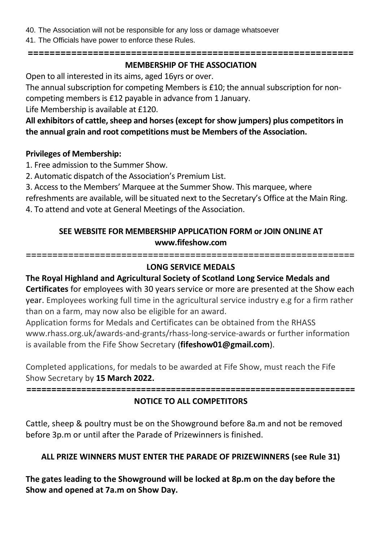- 40. The Association will not be responsible for any loss or damage whatsoever
- 41. The Officials have power to enforce these Rules.

#### **============================================================**

## **MEMBERSHIP OF THE ASSOCIATION**

Open to all interested in its aims, aged 16yrs or over.

The annual subscription for competing Members is £10; the annual subscription for non-

competing members is £12 payable in advance from 1 January.

Life Membership is available at £120.

**All exhibitors of cattle, sheep and horses (except for show jumpers) plus competitors in the annual grain and root competitions must be Members of the Association.** 

## **Privileges of Membership:**

1. Free admission to the Summer Show.

2. Automatic dispatch of the Association's Premium List.

3. Access to the Members' Marquee at the Summer Show. This marquee, where refreshments are available, will be situated next to the Secretary's Office at the Main Ring.

4. To attend and vote at General Meetings of the Association.

## **SEE WEBSITE FOR MEMBERSHIP APPLICATION FORM or JOIN ONLINE AT www.fifeshow.com**

==============================================================

## **LONG SERVICE MEDALS**

## **The Royal Highland and Agricultural Society of Scotland Long Service Medals and**

**Certificates** for employees with 30 years service or more are presented at the Show each year. Employees working full time in the agricultural service industry e.g for a firm rather than on a farm, may now also be eligible for an award.

Application forms for Medals and Certificates can be obtained from the RHASS www.rhass.org.uk/awards-and-grants/rhass-long-service-awards or further information is available from the Fife Show Secretary (**fifeshow01@gmail.com**).

Completed applications, for medals to be awarded at Fife Show, must reach the Fife Show Secretary by **15 March 2022.**

**==================================================================**

## **NOTICE TO ALL COMPETITORS**

Cattle, sheep & poultry must be on the Showground before 8a.m and not be removed before 3p.m or until after the Parade of Prizewinners is finished.

## **ALL PRIZE WINNERS MUST ENTER THE PARADE OF PRIZEWINNERS (see Rule 31)**

**The gates leading to the Showground will be locked at 8p.m on the day before the Show and opened at 7a.m on Show Day.**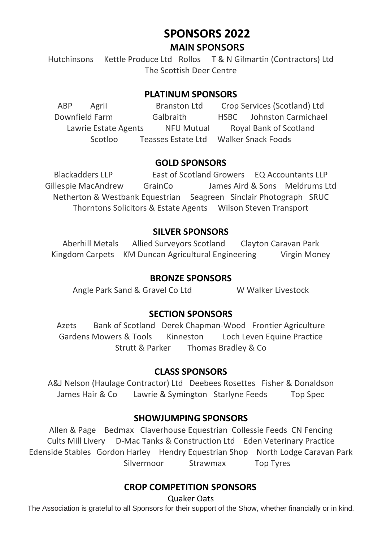## **SPONSORS 2022 MAIN SPONSORS**

Hutchinsons Kettle Produce Ltd Rollos T & N Gilmartin (Contractors) Ltd The Scottish Deer Centre

## **PLATINUM SPONSORS**

ABP AgriI Branston Ltd Crop Services (Scotland) Ltd Downfield Farm Galbraith HSBC Johnston Carmichael Lawrie Estate Agents NFU Mutual Royal Bank of Scotland Scotloo Teasses Estate Ltd Walker Snack Foods

## **GOLD SPONSORS**

Blackadders LLP East of Scotland Growers EQ Accountants LLP Gillespie MacAndrew GrainCo James Aird & Sons Meldrums Ltd Netherton & Westbank Equestrian Seagreen Sinclair Photograph SRUC Thorntons Solicitors & Estate Agents Wilson Steven Transport

## **SILVER SPONSORS**

Aberhill Metals Allied Surveyors Scotland Clayton Caravan Park Kingdom Carpets KM Duncan Agricultural Engineering Virgin Money

### **BRONZE SPONSORS**

Angle Park Sand & Gravel Co Ltd W Walker Livestock

## **SECTION SPONSORS**

Azets Bank of Scotland Derek Chapman-Wood Frontier Agriculture Gardens Mowers & Tools Kinneston Loch Leven Equine Practice Strutt & Parker Thomas Bradley & Co

## **CLASS SPONSORS**

A&J Nelson (Haulage Contractor) Ltd Deebees Rosettes Fisher & Donaldson James Hair & Co Lawrie & Symington Starlyne Feeds Top Spec

### **SHOWJUMPING SPONSORS**

Allen & Page Bedmax Claverhouse Equestrian Collessie Feeds CN Fencing Cults Mill Livery D-Mac Tanks & Construction Ltd Eden Veterinary Practice Edenside Stables Gordon Harley Hendry Equestrian Shop North Lodge Caravan Park Silvermoor Strawmax Top Tyres

## **CROP COMPETITION SPONSORS**

Quaker Oats

The Association is grateful to all Sponsors for their support of the Show, whether financially or in kind.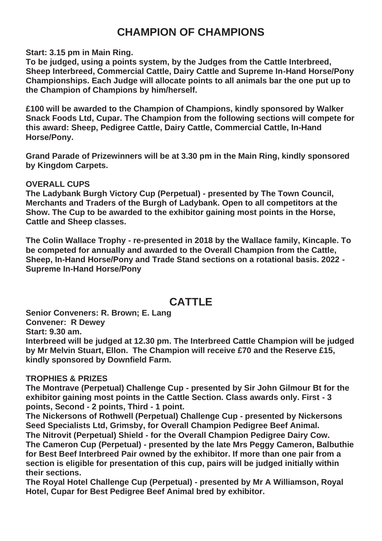## **CHAMPION OF CHAMPIONS**

**Start: 3.15 pm in Main Ring.**

**To be judged, using a points system, by the Judges from the Cattle Interbreed, Sheep Interbreed, Commercial Cattle, Dairy Cattle and Supreme In-Hand Horse/Pony Championships. Each Judge will allocate points to all animals bar the one put up to the Champion of Champions by him/herself.** 

**£100 will be awarded to the Champion of Champions, kindly sponsored by Walker Snack Foods Ltd, Cupar. The Champion from the following sections will compete for this award: Sheep, Pedigree Cattle, Dairy Cattle, Commercial Cattle, In-Hand Horse/Pony.**

**Grand Parade of Prizewinners will be at 3.30 pm in the Main Ring, kindly sponsored by Kingdom Carpets.**

### **OVERALL CUPS**

**The Ladybank Burgh Victory Cup (Perpetual) - presented by The Town Council, Merchants and Traders of the Burgh of Ladybank. Open to all competitors at the Show. The Cup to be awarded to the exhibitor gaining most points in the Horse, Cattle and Sheep classes.**

**The Colin Wallace Trophy - re-presented in 2018 by the Wallace family, Kincaple. To be competed for annually and awarded to the Overall Champion from the Cattle, Sheep, In-Hand Horse/Pony and Trade Stand sections on a rotational basis. 2022 - Supreme In-Hand Horse/Pony**

## **CATTLE**

**Senior Conveners: R. Brown; E. Lang Convener: R Dewey Start: 9.30 am. Interbreed will be judged at 12.30 pm. The Interbreed Cattle Champion will be judged by Mr Melvin Stuart, Ellon. The Champion will receive £70 and the Reserve £15, kindly sponsored by Downfield Farm.** 

### **TROPHIES & PRIZES**

**The Montrave (Perpetual) Challenge Cup - presented by Sir John Gilmour Bt for the exhibitor gaining most points in the Cattle Section. Class awards only. First - 3 points, Second - 2 points, Third - 1 point.**

**The Nickersons of Rothwell (Perpetual) Challenge Cup - presented by Nickersons Seed Specialists Ltd, Grimsby, for Overall Champion Pedigree Beef Animal. The Nitrovit (Perpetual) Shield - for the Overall Champion Pedigree Dairy Cow. The Cameron Cup (Perpetual) - presented by the late Mrs Peggy Cameron, Balbuthie for Best Beef Interbreed Pair owned by the exhibitor. If more than one pair from a section is eligible for presentation of this cup, pairs will be judged initially within their sections.**

**The Royal Hotel Challenge Cup (Perpetual) - presented by Mr A Williamson, Royal Hotel, Cupar for Best Pedigree Beef Animal bred by exhibitor.**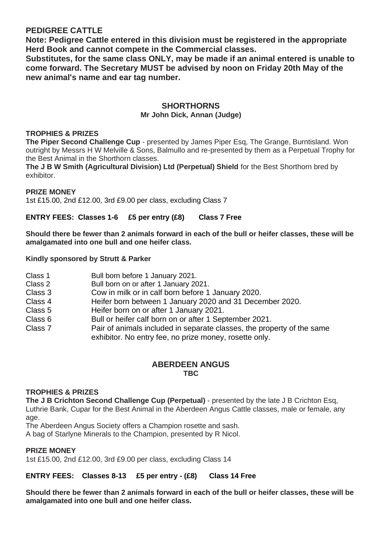### **PEDIGREE CATTLE**

**Note: Pedigree Cattle entered in this division must be registered in the appropriate Herd Book and cannot compete in the Commercial classes.**

**Substitutes, for the same class ONLY, may be made if an animal entered is unable to come forward. The Secretary MUST be advised by noon on Friday 20th May of the new animal's name and ear tag number.** 

## **SHORTHORNS**

## **Mr John Dick, Annan (Judge)**

#### **TROPHIES & PRIZES**

**The Piper Second Challenge Cup** - presented by James Piper Esq, The Grange, Burntisland. Won outright by Messrs H W Melville & Sons, Balmullo and re-presented by them as a Perpetual Trophy for the Best Animal in the Shorthorn classes.

**The J B W Smith (Agricultural Division) Ltd (Perpetual) Shield** for the Best Shorthorn bred by exhibitor.

#### **PRIZE MONEY**

1st £15.00, 2nd £12.00, 3rd £9.00 per class, excluding Class 7

#### **ENTRY FEES: Classes 1-6 £5 per entry (£8) Class 7 Free**

**Should there be fewer than 2 animals forward in each of the bull or heifer classes, these will be amalgamated into one bull and one heifer class.** 

#### **Kindly sponsored by Strutt & Parker**

| Class 1 | Bull born before 1 January 2021.                                                                                                 |
|---------|----------------------------------------------------------------------------------------------------------------------------------|
| Class 2 | Bull born on or after 1 January 2021.                                                                                            |
| Class 3 | Cow in milk or in calf born before 1 January 2020.                                                                               |
| Class 4 | Heifer born between 1 January 2020 and 31 December 2020.                                                                         |
| Class 5 | Heifer born on or after 1 January 2021.                                                                                          |
| Class 6 | Bull or heifer calf born on or after 1 September 2021.                                                                           |
| Class 7 | Pair of animals included in separate classes, the property of the same<br>exhibitor. No entry fee, no prize money, rosette only. |

#### **ABERDEEN ANGUS TBC**

#### **TROPHIES & PRIZES**

**The J B Crichton Second Challenge Cup (Perpetual)** - presented by the late J B Crichton Esq, Luthrie Bank, Cupar for the Best Animal in the Aberdeen Angus Cattle classes, male or female, any age.

The Aberdeen Angus Society offers a Champion rosette and sash.

A bag of Starlyne Minerals to the Champion, presented by R Nicol.

#### **PRIZE MONEY**

1st £15.00, 2nd £12.00, 3rd £9.00 per class, excluding Class 14

#### **ENTRY FEES: Classes 8-13 £5 per entry - (£8) Class 14 Free**

**Should there be fewer than 2 animals forward in each of the bull or heifer classes, these will be amalgamated into one bull and one heifer class.**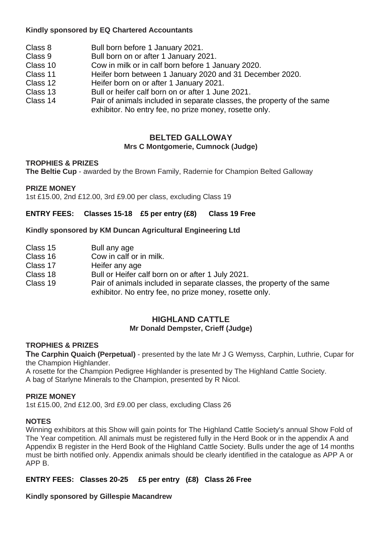#### **Kindly sponsored by EQ Chartered Accountants**

- Class 8 Bull born before 1 January 2021.
- Class 9 Bull born on or after 1 January 2021.
- Class 10 Cow in milk or in calf born before 1 January 2020.
- Class 11 Heifer born between 1 January 2020 and 31 December 2020.
- Class 12 Heifer born on or after 1 January 2021.
- Class 13 Bull or heifer calf born on or after 1 June 2021.
- Pair of animals included in separate classes, the property of the same exhibitor. No entry fee, no prize money, rosette only.

#### **BELTED GALLOWAY Mrs C Montgomerie, Cumnock (Judge)**

#### **TROPHIES & PRIZES**

**The Beltie Cup** - awarded by the Brown Family, Radernie for Champion Belted Galloway

#### **PRIZE MONEY**

1st £15.00, 2nd £12.00, 3rd £9.00 per class, excluding Class 19

**ENTRY FEES: Classes 15-18 £5 per entry (£8) Class 19 Free**

#### **Kindly sponsored by KM Duncan Agricultural Engineering Ltd**

| Class 15 | Bull any age |
|----------|--------------|
|----------|--------------|

- Class 16 Cow in calf or in milk.<br>Class 17 Heifer any age
- Heifer any age
- Class 18 Bull or Heifer calf born on or after 1 July 2021.
- Class 19 Pair of animals included in separate classes, the property of the same exhibitor. No entry fee, no prize money, rosette only.

#### **HIGHLAND CATTLE Mr Donald Dempster, Crieff (Judge)**

#### **TROPHIES & PRIZES**

**The Carphin Quaich (Perpetual)** - presented by the late Mr J G Wemyss, Carphin, Luthrie, Cupar for the Champion Highlander.

A rosette for the Champion Pedigree Highlander is presented by The Highland Cattle Society.

A bag of Starlyne Minerals to the Champion, presented by R Nicol.

#### **PRIZE MONEY**

1st £15.00, 2nd £12.00, 3rd £9.00 per class, excluding Class 26

#### **NOTES**

Winning exhibitors at this Show will gain points for The Highland Cattle Society's annual Show Fold of The Year competition. All animals must be registered fully in the Herd Book or in the appendix A and Appendix B register in the Herd Book of the Highland Cattle Society. Bulls under the age of 14 months must be birth notified only. Appendix animals should be clearly identified in the catalogue as APP A or APP B.

#### **ENTRY FEES: Classes 20-25 £5 per entry (£8) Class 26 Free**

**Kindly sponsored by Gillespie Macandrew**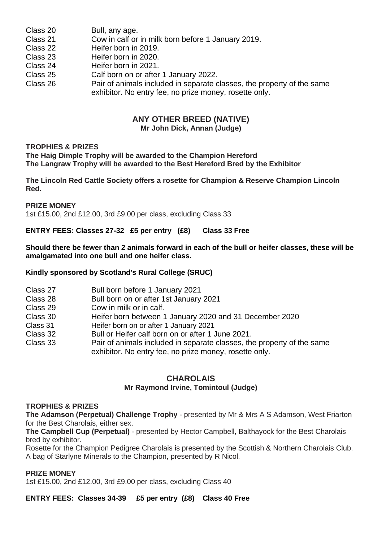| Class 20 | Bull, any age.                                                                                                                   |
|----------|----------------------------------------------------------------------------------------------------------------------------------|
| Class 21 | Cow in calf or in milk born before 1 January 2019.                                                                               |
| Class 22 | Heifer born in 2019.                                                                                                             |
| Class 23 | Heifer born in 2020.                                                                                                             |
| Class 24 | Heifer born in 2021.                                                                                                             |
| Class 25 | Calf born on or after 1 January 2022.                                                                                            |
| Class 26 | Pair of animals included in separate classes, the property of the same<br>exhibitor. No entry fee, no prize money, rosette only. |

## **ANY OTHER BREED (NATIVE)**

**Mr John Dick, Annan (Judge)**

#### **TROPHIES & PRIZES**

**The Haig Dimple Trophy will be awarded to the Champion Hereford The Langraw Trophy will be awarded to the Best Hereford Bred by the Exhibitor**

**The Lincoln Red Cattle Society offers a rosette for Champion & Reserve Champion Lincoln Red.** 

**PRIZE MONEY**

1st £15.00, 2nd £12.00, 3rd £9.00 per class, excluding Class 33

#### **ENTRY FEES: Classes 27-32 £5 per entry (£8) Class 33 Free**

**Should there be fewer than 2 animals forward in each of the bull or heifer classes, these will be amalgamated into one bull and one heifer class.** 

#### **Kindly sponsored by Scotland's Rural College (SRUC)**

| Class 27 | Bull born before 1 January 2021                                        |
|----------|------------------------------------------------------------------------|
| Class 28 | Bull born on or after 1st January 2021                                 |
| Class 29 | Cow in milk or in calf.                                                |
| Class 30 | Heifer born between 1 January 2020 and 31 December 2020                |
| Class 31 | Heifer born on or after 1 January 2021                                 |
| Class 32 | Bull or Heifer calf born on or after 1 June 2021.                      |
| Class 33 | Pair of animals included in separate classes, the property of the same |
|          | exhibitor. No entry fee, no prize money, rosette only.                 |

#### **CHAROLAIS Mr Raymond Irvine, Tomintoul (Judge)**

#### **TROPHIES & PRIZES**

**The Adamson (Perpetual) Challenge Trophy** - presented by Mr & Mrs A S Adamson, West Friarton for the Best Charolais, either sex.

**The Campbell Cup (Perpetual)** - presented by Hector Campbell, Balthayock for the Best Charolais bred by exhibitor.

Rosette for the Champion Pedigree Charolais is presented by the Scottish & Northern Charolais Club. A bag of Starlyne Minerals to the Champion, presented by R Nicol.

#### **PRIZE MONEY**

1st £15.00, 2nd £12.00, 3rd £9.00 per class, excluding Class 40

**ENTRY FEES: Classes 34-39 £5 per entry (£8) Class 40 Free**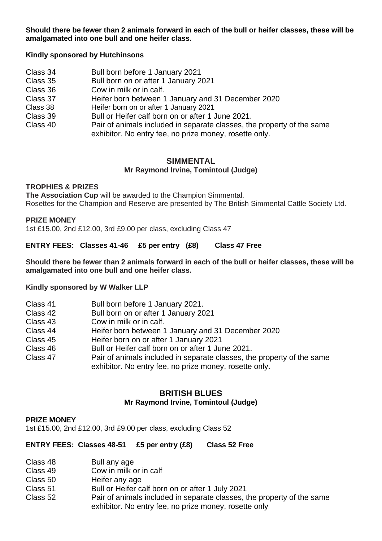**Should there be fewer than 2 animals forward in each of the bull or heifer classes, these will be amalgamated into one bull and one heifer class.** 

#### **Kindly sponsored by Hutchinsons**

Class 34 Bull born before 1 January 2021 Class 35 Bull born on or after 1 January 2021 Class 36 Cow in milk or in calf.<br>Class 37 Heifer born between 1 Class 37 Heifer born between 1 January and 31 December 2020<br>Class 38 Heifer born on or after 1 January 2021 Class 38 Heifer born on or after 1 January 2021 Class 39 Bull or Heifer calf born on or after 1 June 2021. Pair of animals included in separate classes, the property of the same exhibitor. No entry fee, no prize money, rosette only.

#### **SIMMENTAL Mr Raymond Irvine, Tomintoul (Judge)**

#### **TROPHIES & PRIZES**

**The Association Cup** will be awarded to the Champion Simmental. Rosettes for the Champion and Reserve are presented by The British Simmental Cattle Society Ltd.

#### **PRIZE MONEY**

1st £15.00, 2nd £12.00, 3rd £9.00 per class, excluding Class 47

**ENTRY FEES: Classes 41-46 £5 per entry (£8) Class 47 Free**

**Should there be fewer than 2 animals forward in each of the bull or heifer classes, these will be amalgamated into one bull and one heifer class.** 

**Kindly sponsored by W Walker LLP**

| Class 41 | Bull born before 1 January 2021.                                                                                                 |
|----------|----------------------------------------------------------------------------------------------------------------------------------|
| Class 42 | Bull born on or after 1 January 2021                                                                                             |
| Class 43 | Cow in milk or in calf.                                                                                                          |
| Class 44 | Heifer born between 1 January and 31 December 2020                                                                               |
| Class 45 | Heifer born on or after 1 January 2021                                                                                           |
| Class 46 | Bull or Heifer calf born on or after 1 June 2021.                                                                                |
| Class 47 | Pair of animals included in separate classes, the property of the same<br>exhibitor. No entry fee, no prize money, rosette only. |

#### **BRITISH BLUES**

#### **Mr Raymond Irvine, Tomintoul (Judge)**

#### **PRIZE MONEY**

1st £15.00, 2nd £12.00, 3rd £9.00 per class, excluding Class 52

**ENTRY FEES: Classes 48-51 £5 per entry (£8) Class 52 Free**

| Class 48 | Bull any age |
|----------|--------------|
|----------|--------------|

- Class 49 Cow in milk or in calf<br>Class 50 Heifer any age
- Class 50 Heifer any age<br>Class 51 Bull or Heifer ca
- Bull or Heifer calf born on or after 1 July 2021
- Class 52 Pair of animals included in separate classes, the property of the same exhibitor. No entry fee, no prize money, rosette only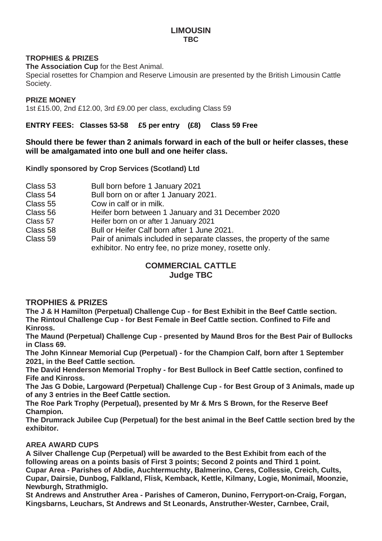#### **LIMOUSIN TBC**

#### **TROPHIES & PRIZES**

**The Association Cup** for the Best Animal.

Special rosettes for Champion and Reserve Limousin are presented by the British Limousin Cattle Society.

#### **PRIZE MONEY**

1st £15.00, 2nd £12.00, 3rd £9.00 per class, excluding Class 59

**ENTRY FEES: Classes 53-58 £5 per entry (£8) Class 59 Free**

#### **Should there be fewer than 2 animals forward in each of the bull or heifer classes, these will be amalgamated into one bull and one heifer class.**

**Kindly sponsored by Crop Services (Scotland) Ltd**

- Class 53 Bull born before 1 January 2021
- Class 54 Bull born on or after 1 January 2021.<br>Class 55 Cow in calf or in milk
- Cow in calf or in milk.
- Class 56 Heifer born between 1 January and 31 December 2020
- Class 57 Heifer born on or after 1 January 2021
- Class 58 Bull or Heifer Calf born after 1 June 2021.<br>Class 59 Pair of animals included in separate class
- Pair of animals included in separate classes, the property of the same exhibitor. No entry fee, no prize money, rosette only.

#### **COMMERCIAL CATTLE Judge TBC**

### **TROPHIES & PRIZES**

**The J & H Hamilton (Perpetual) Challenge Cup - for Best Exhibit in the Beef Cattle section. The Rintoul Challenge Cup - for Best Female in Beef Cattle section. Confined to Fife and Kinross.**

**The Maund (Perpetual) Challenge Cup - presented by Maund Bros for the Best Pair of Bullocks in Class 69.**

**The John Kinnear Memorial Cup (Perpetual) - for the Champion Calf, born after 1 September 2021, in the Beef Cattle section.**

**The David Henderson Memorial Trophy - for Best Bullock in Beef Cattle section, confined to Fife and Kinross.**

**The Jas G Dobie, Largoward (Perpetual) Challenge Cup - for Best Group of 3 Animals, made up of any 3 entries in the Beef Cattle section.**

**The Roe Park Trophy (Perpetual), presented by Mr & Mrs S Brown, for the Reserve Beef Champion.**

**The Drumrack Jubilee Cup (Perpetual) for the best animal in the Beef Cattle section bred by the exhibitor.**

#### **AREA AWARD CUPS**

**A Silver Challenge Cup (Perpetual) will be awarded to the Best Exhibit from each of the following areas on a points basis of First 3 points; Second 2 points and Third 1 point. Cupar Area - Parishes of Abdie, Auchtermuchty, Balmerino, Ceres, Collessie, Creich, Cults, Cupar, Dairsie, Dunbog, Falkland, Flisk, Kemback, Kettle, Kilmany, Logie, Monimail, Moonzie, Newburgh, Strathmiglo.**

**St Andrews and Anstruther Area - Parishes of Cameron, Dunino, Ferryport-on-Craig, Forgan, Kingsbarns, Leuchars, St Andrews and St Leonards, Anstruther-Wester, Carnbee, Crail,**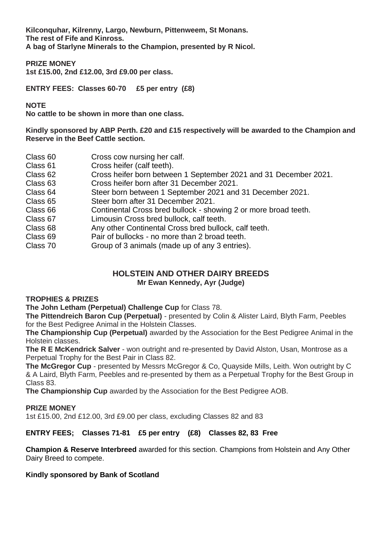**Kilconquhar, Kilrenny, Largo, Newburn, Pittenweem, St Monans. The rest of Fife and Kinross. A bag of Starlyne Minerals to the Champion, presented by R Nicol.**

**PRIZE MONEY**

**1st £15.00, 2nd £12.00, 3rd £9.00 per class.**

**ENTRY FEES: Classes 60-70 £5 per entry (£8)** 

#### **NOTE**

**No cattle to be shown in more than one class.**

**Kindly sponsored by ABP Perth. £20 and £15 respectively will be awarded to the Champion and Reserve in the Beef Cattle section.** 

| Class 60 | Cross cow nursing her calf.                                      |
|----------|------------------------------------------------------------------|
| Class 61 | Cross heifer (calf teeth).                                       |
| Class 62 | Cross heifer born between 1 September 2021 and 31 December 2021. |
| Class 63 | Cross heifer born after 31 December 2021.                        |
| Class 64 | Steer born between 1 September 2021 and 31 December 2021.        |
| Class 65 | Steer born after 31 December 2021.                               |
| Class 66 | Continental Cross bred bullock - showing 2 or more broad teeth.  |
| Class 67 | Limousin Cross bred bullock, calf teeth.                         |
| Class 68 | Any other Continental Cross bred bullock, calf teeth.            |
| Class 69 | Pair of bullocks - no more than 2 broad teeth.                   |
| Class 70 | Group of 3 animals (made up of any 3 entries).                   |
|          |                                                                  |

#### **HOLSTEIN AND OTHER DAIRY BREEDS Mr Ewan Kennedy, Ayr (Judge)**

#### **TROPHIES & PRIZES**

**The John Letham (Perpetual) Challenge Cup** for Class 78.

**The Pittendreich Baron Cup (Perpetual)** - presented by Colin & Alister Laird, Blyth Farm, Peebles for the Best Pedigree Animal in the Holstein Classes.

**The Championship Cup (Perpetual)** awarded by the Association for the Best Pedigree Animal in the Holstein classes.

**The R E McKendrick Salver** - won outright and re-presented by David Alston, Usan, Montrose as a Perpetual Trophy for the Best Pair in Class 82.

**The McGregor Cup** - presented by Messrs McGregor & Co, Quayside Mills, Leith. Won outright by C & A Laird, Blyth Farm, Peebles and re-presented by them as a Perpetual Trophy for the Best Group in Class 83.

**The Championship Cup** awarded by the Association for the Best Pedigree AOB.

#### **PRIZE MONEY**

1st £15.00, 2nd £12.00, 3rd £9.00 per class, excluding Classes 82 and 83

#### **ENTRY FEES; Classes 71-81 £5 per entry (£8) Classes 82, 83 Free**

**Champion & Reserve Interbreed** awarded for this section. Champions from Holstein and Any Other Dairy Breed to compete.

#### **Kindly sponsored by Bank of Scotland**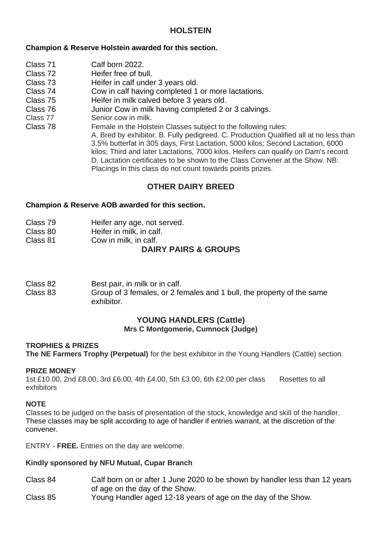## **HOLSTEIN**

#### **Champion & Reserve Holstein awarded for this section.**

- Class 71 Calf born 2022.<br>Class 72 Heifer free of bu
- Class 72 Heifer free of bull.<br>Class 73 Heifer in calf unde
- Heifer in calf under 3 years old.
- Class 74 Cow in calf having completed 1 or more lactations.<br>Class 75 Heifer in milk calved before 3 years old
- Class 75 Heifer in milk calved before 3 years old.<br>Class 76 Junior Cow in milk having completed 2 o
- Class 76 Junior Cow in milk having completed 2 or 3 calvings.<br>Class 77 Senior cow in milk.
- Class 77 Senior cow in milk.<br>Class 78 Female in the Hols
- Female in the Holstein Classes subject to the following rules:

A. Bred by exhibitor. B. Fully pedigreed. C. Production Qualified all at no less than 3.5% butterfat in 305 days, First Lactation, 5000 kilos; Second Lactation, 6000 kilos; Third and later Lactations, 7000 kilos. Heifers can qualify on Dam's record. D. Lactation certificates to be shown to the Class Convener at the Show. NB: Placings in this class do not count towards points prizes.

## **OTHER DAIRY BREED**

#### **Champion & Reserve AOB awarded for this section.**

- Class 80 Heifer in milk, in calf.
- Class 81 Cow in milk, in calf.

## **DAIRY PAIRS & GROUPS**

Class 82 Best pair, in milk or in calf.

Class 83 Group of 3 females, or 2 females and 1 bull, the property of the same exhibitor.

#### **YOUNG HANDLERS (Cattle) Mrs C Montgomerie, Cumnock (Judge)**

#### **TROPHIES & PRIZES**

**The NE Farmers Trophy (Perpetual)** for the best exhibitor in the Young Handlers (Cattle) section.

#### **PRIZE MONEY**

1st £10.00, 2nd £8.00, 3rd £6.00, 4th £4.00, 5th £3.00, 6th £2.00 per class Rosettes to all exhibitors

#### **NOTE**

Classes to be judged on the basis of presentation of the stock, knowledge and skill of the handler. These classes may be split according to age of handler if entries warrant, at the discretion of the convener.

ENTRY - **FREE.** Entries on the day are welcome.

#### **Kindly sponsored by NFU Mutual, Cupar Branch**

- Class 84 Calf born on or after 1 June 2020 to be shown by handler less than 12 years of age on the day of the Show.
- Class 85 Young Handler aged 12-18 years of age on the day of the Show.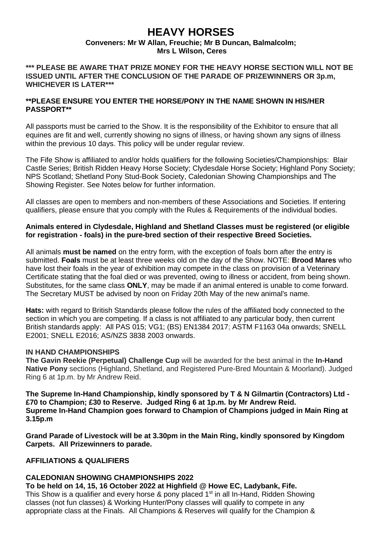## **HEAVY HORSES**

#### **Conveners: Mr W Allan, Freuchie; Mr B Duncan, Balmalcolm; Mrs L Wilson, Ceres**

**\*\*\* PLEASE BE AWARE THAT PRIZE MONEY FOR THE HEAVY HORSE SECTION WILL NOT BE ISSUED UNTIL AFTER THE CONCLUSION OF THE PARADE OF PRIZEWINNERS OR 3p.m, WHICHEVER IS LATER\*\*\***

#### **\*\*PLEASE ENSURE YOU ENTER THE HORSE/PONY IN THE NAME SHOWN IN HIS/HER PASSPORT\*\***

All passports must be carried to the Show. It is the responsibility of the Exhibitor to ensure that all equines are fit and well, currently showing no signs of illness, or having shown any signs of illness within the previous 10 days. This policy will be under regular review.

The Fife Show is affiliated to and/or holds qualifiers for the following Societies/Championships: Blair Castle Series; British Ridden Heavy Horse Society; Clydesdale Horse Society; Highland Pony Society; NPS Scotland; Shetland Pony Stud-Book Society, Caledonian Showing Championships and The Showing Register. See Notes below for further information.

All classes are open to members and non-members of these Associations and Societies. If entering qualifiers, please ensure that you comply with the Rules & Requirements of the individual bodies.

#### **Animals entered in Clydesdale, Highland and Shetland Classes must be registered (or eligible for registration - foals) in the pure-bred section of their respective Breed Societies.**

All animals **must be named** on the entry form, with the exception of foals born after the entry is submitted. **Foals** must be at least three weeks old on the day of the Show. NOTE: **Brood Mares** who have lost their foals in the year of exhibition may compete in the class on provision of a Veterinary Certificate stating that the foal died or was prevented, owing to illness or accident, from being shown. Substitutes, for the same class **ONLY**, may be made if an animal entered is unable to come forward. The Secretary MUST be advised by noon on Friday 20th May of the new animal's name.

**Hats:** with regard to British Standards please follow the rules of the affiliated body connected to the section in which you are competing. If a class is not affiliated to any particular body, then current British standards apply: All PAS 015; VG1; (BS) EN1384 2017; ASTM F1163 04a onwards; SNELL E2001; SNELL E2016; AS/NZS 3838 2003 onwards.

#### **IN HAND CHAMPIONSHIPS**

**The Gavin Reekie (Perpetual) Challenge Cup** will be awarded for the best animal in the **In-Hand Native Pony** sections (Highland, Shetland, and Registered Pure-Bred Mountain & Moorland). Judged Ring 6 at 1p.m. by Mr Andrew Reid.

**The Supreme In-Hand Championship, kindly sponsored by T & N Gilmartin (Contractors) Ltd - £70 to Champion; £30 to Reserve. Judged Ring 6 at 1p.m. by Mr Andrew Reid. Supreme In-Hand Champion goes forward to Champion of Champions judged in Main Ring at 3.15p.m**

**Grand Parade of Livestock will be at 3.30pm in the Main Ring, kindly sponsored by Kingdom Carpets. All Prizewinners to parade.** 

#### **AFFILIATIONS & QUALIFIERS**

## **CALEDONIAN SHOWING CHAMPIONSHIPS 2022**

**To be held on 14, 15, 16 October 2022 at Highfield @ Howe EC, Ladybank, Fife.** This Show is a qualifier and every horse & pony placed  $1<sup>st</sup>$  in all In-Hand, Ridden Showing classes (not fun classes) & Working Hunter/Pony classes will qualify to compete in any appropriate class at the Finals. All Champions & Reserves will qualify for the Champion &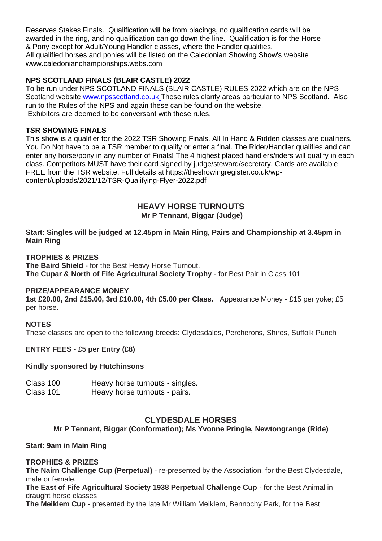Reserves Stakes Finals. Qualification will be from placings, no qualification cards will be awarded in the ring, and no qualification can go down the line. Qualification is for the Horse & Pony except for Adult/Young Handler classes, where the Handler qualifies. All qualified horses and ponies will be listed on the Caledonian Showing Show's website www.caledonianchampionships.webs.com

#### **NPS SCOTLAND FINALS (BLAIR CASTLE) 2022**

To be run under NPS SCOTLAND FINALS (BLAIR CASTLE) RULES 2022 which are on the NPS Scotland website www.npsscotland.co.uk These rules clarify areas particular to NPS Scotland. Also run to the Rules of the NPS and again these can be found on the website. Exhibitors are deemed to be conversant with these rules.

#### **TSR SHOWING FINALS**

This show is a qualifier for the 2022 TSR Showing Finals. All In Hand & Ridden classes are qualifiers. You Do Not have to be a TSR member to qualify or enter a final. The Rider/Handler qualifies and can enter any horse/pony in any number of Finals! The 4 highest placed handlers/riders will qualify in each class. Competitors MUST have their card signed by judge/steward/secretary. Cards are available FREE from the TSR website. Full details at https://theshowingregister.co.uk/wpcontent/uploads/2021/12/TSR-Qualifying-Flyer-2022.pdf

#### **HEAVY HORSE TURNOUTS Mr P Tennant, Biggar (Judge)**

**Start: Singles will be judged at 12.45pm in Main Ring, Pairs and Championship at 3.45pm in Main Ring**

#### **TROPHIES & PRIZES**

**The Baird Shield** - for the Best Heavy Horse Turnout. **The Cupar & North of Fife Agricultural Society Trophy** - for Best Pair in Class 101

#### **PRIZE/APPEARANCE MONEY**

**1st £20.00, 2nd £15.00, 3rd £10.00, 4th £5.00 per Class.** Appearance Money - £15 per yoke; £5 per horse.

#### **NOTES**

These classes are open to the following breeds: Clydesdales, Percherons, Shires, Suffolk Punch

#### **ENTRY FEES - £5 per Entry (£8)**

#### **Kindly sponsored by Hutchinsons**

| Class 100 | Heavy horse turnouts - singles. |
|-----------|---------------------------------|
| Class 101 | Heavy horse turnouts - pairs.   |

### **CLYDESDALE HORSES**

### **Mr P Tennant, Biggar (Conformation); Ms Yvonne Pringle, Newtongrange (Ride)**

#### **Start: 9am in Main Ring**

#### **TROPHIES & PRIZES**

**The Nairn Challenge Cup (Perpetual)** - re-presented by the Association, for the Best Clydesdale, male or female.

**The East of Fife Agricultural Society 1938 Perpetual Challenge Cup** - for the Best Animal in draught horse classes

**The Meiklem Cup** - presented by the late Mr William Meiklem, Bennochy Park, for the Best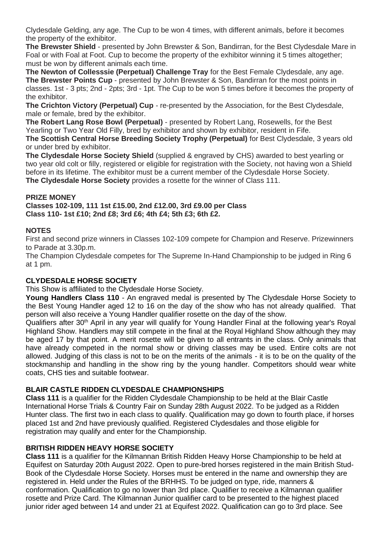Clydesdale Gelding, any age. The Cup to be won 4 times, with different animals, before it becomes the property of the exhibitor.

**The Brewster Shield** - presented by John Brewster & Son, Bandirran, for the Best Clydesdale Mare in Foal or with Foal at Foot. Cup to become the property of the exhibitor winning it 5 times altogether; must be won by different animals each time.

**The Newton of Collesssie (Perpetual) Challenge Tray** for the Best Female Clydesdale, any age. **The Brewster Points Cup** - presented by John Brewster & Son, Bandirran for the most points in classes. 1st - 3 pts; 2nd - 2pts; 3rd - 1pt. The Cup to be won 5 times before it becomes the property of the exhibitor.

**The Crichton Victory (Perpetual) Cup** - re-presented by the Association, for the Best Clydesdale, male or female, bred by the exhibitor.

**The Robert Lang Rose Bowl (Perpetual)** - presented by Robert Lang, Rosewells, for the Best Yearling or Two Year Old Filly, bred by exhibitor and shown by exhibitor, resident in Fife.

**The Scottish Central Horse Breeding Society Trophy (Perpetual)** for Best Clydesdale, 3 years old or under bred by exhibitor.

**The Clydesdale Horse Society Shield** (supplied & engraved by CHS) awarded to best yearling or two year old colt or filly, registered or eligible for registration with the Society, not having won a Shield before in its lifetime. The exhibitor must be a current member of the Clydesdale Horse Society. **The Clydesdale Horse Society** provides a rosette for the winner of Class 111.

#### **PRIZE MONEY**

**Classes 102-109, 111 1st £15.00, 2nd £12.00, 3rd £9.00 per Class Class 110- 1st £10; 2nd £8; 3rd £6; 4th £4; 5th £3; 6th £2.**

#### **NOTES**

First and second prize winners in Classes 102-109 compete for Champion and Reserve. Prizewinners to Parade at 3.30p.m.

The Champion Clydesdale competes for The Supreme In-Hand Championship to be judged in Ring 6 at  $1 \text{ nm}$ .

#### **CLYDESDALE HORSE SOCIETY**

This Show is affiliated to the Clydesdale Horse Society.

**Young Handlers Class 110** - An engraved medal is presented by The Clydesdale Horse Society to the Best Young Handler aged 12 to 16 on the day of the show who has not already qualified. That person will also receive a Young Handler qualifier rosette on the day of the show.

Qualifiers after 30<sup>th</sup> April in any year will qualify for Young Handler Final at the following year's Royal Highland Show. Handlers may still compete in the final at the Royal Highland Show although they may be aged 17 by that point. A merit rosette will be given to all entrants in the class. Only animals that have already competed in the normal show or driving classes may be used. Entire colts are not allowed. Judging of this class is not to be on the merits of the animals - it is to be on the quality of the stockmanship and handling in the show ring by the young handler. Competitors should wear white coats, CHS ties and suitable footwear.

#### **BLAIR CASTLE RIDDEN CLYDESDALE CHAMPIONSHIPS**

**Class 111** is a qualifier for the Ridden Clydesdale Championship to be held at the Blair Castle International Horse Trials & Country Fair on Sunday 28th August 2022. To be judged as a Ridden Hunter class. The first two in each class to qualify. Qualification may go down to fourth place, if horses placed 1st and 2nd have previously qualified. Registered Clydesdales and those eligible for registration may qualify and enter for the Championship.

#### **BRITISH RIDDEN HEAVY HORSE SOCIETY**

**Class 111** is a qualifier for the Kilmannan British Ridden Heavy Horse Championship to be held at Equifest on Saturday 20th August 2022. Open to pure-bred horses registered in the main British Stud-Book of the Clydesdale Horse Society. Horses must be entered in the name and ownership they are registered in. Held under the Rules of the BRHHS. To be judged on type, ride, manners & conformation. Qualification to go no lower than 3rd place. Qualifier to receive a Kilmannan qualifier rosette and Prize Card. The Kilmannan Junior qualifier card to be presented to the highest placed junior rider aged between 14 and under 21 at Equifest 2022. Qualification can go to 3rd place. See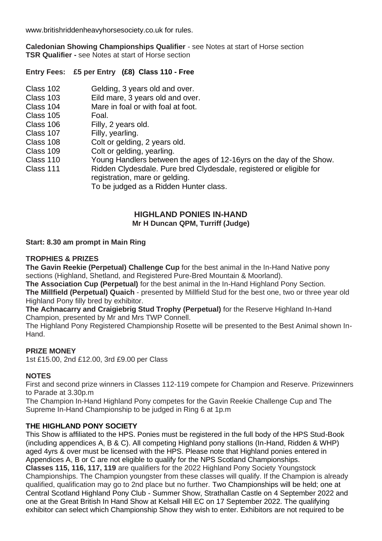www.britishriddenheavyhorsesociety.co.uk for rules.

**Caledonian Showing Championships Qualifier** - see Notes at start of Horse section **TSR Qualifier -** see Notes at start of Horse section

#### **Entry Fees: £5 per Entry (£8) Class 110 - Free**

- Class 102 Gelding, 3 years old and over.<br>Class 103 Fild mare 3 years old and over.
- Class 103 Eild mare,  $\frac{3}{3}$  years old and over.<br>Class 104 Mare in foal or with foal at foot
- Mare in foal or with foal at foot.<br>Foal
- Class 105<br>Class 106
- Class 106 Filly, 2 years old.<br>Class 107 Filly vearling
- Class 107 Filly, yearling.<br>Class 108 Colt or gelding
- Colt or gelding, 2 years old.
- Class 109 Colt or gelding, yearling.<br>Class 110 Young Handlers between
- Class 110 Young Handlers between the ages of 12-16yrs on the day of the Show.<br>Class 111 Ridden Clydesdale. Pure bred Clydesdale, registered or eligible for
- Ridden Clydesdale. Pure bred Clydesdale, registered or eligible for registration, mare or gelding.

To be judged as a Ridden Hunter class.

#### **HIGHLAND PONIES IN-HAND Mr H Duncan QPM, Turriff (Judge)**

#### **Start: 8.30 am prompt in Main Ring**

#### **TROPHIES & PRIZES**

**The Gavin Reekie (Perpetual) Challenge Cup** for the best animal in the In-Hand Native pony sections (Highland, Shetland, and Registered Pure-Bred Mountain & Moorland).

**The Association Cup (Perpetual)** for the best animal in the In-Hand Highland Pony Section.

**The Millfield (Perpetual) Quaich** - presented by Millfield Stud for the best one, two or three year old Highland Pony filly bred by exhibitor.

**The Achnacarry and Craigiebrig Stud Trophy (Perpetual)** for the Reserve Highland In-Hand Champion, presented by Mr and Mrs TWP Connell.

The Highland Pony Registered Championship Rosette will be presented to the Best Animal shown In-Hand.

#### **PRIZE MONEY**

1st £15.00, 2nd £12.00, 3rd £9.00 per Class

#### **NOTES**

First and second prize winners in Classes 112-119 compete for Champion and Reserve. Prizewinners to Parade at 3.30p.m

The Champion In-Hand Highland Pony competes for the Gavin Reekie Challenge Cup and The Supreme In-Hand Championship to be judged in Ring 6 at 1p.m

#### **THE HIGHLAND PONY SOCIETY**

This Show is affiliated to the HPS. Ponies must be registered in the full body of the HPS Stud-Book (including appendices A, B & C). All competing Highland pony stallions (In-Hand, Ridden & WHP) aged 4yrs & over must be licensed with the HPS. Please note that Highland ponies entered in Appendices A, B or C are not eligible to qualify for the NPS Scotland Championships.

**Classes 115, 116, 117, 119** are qualifiers for the 2022 Highland Pony Society Youngstock Championships. The Champion youngster from these classes will qualify. If the Champion is already qualified, qualification may go to 2nd place but no further. Two Championships will be held; one at Central Scotland Highland Pony Club - Summer Show, Strathallan Castle on 4 September 2022 and one at the Great British In Hand Show at Kelsall Hill EC on 17 September 2022. The qualifying exhibitor can select which Championship Show they wish to enter. Exhibitors are not required to be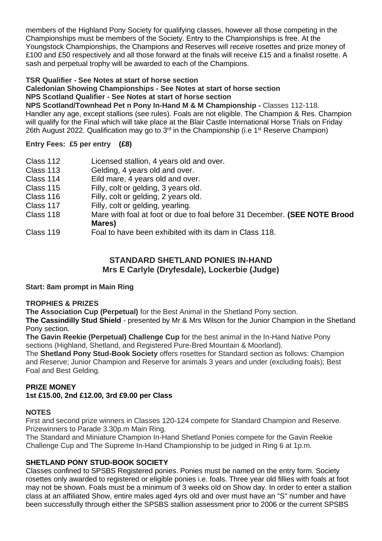members of the Highland Pony Society for qualifying classes, however all those competing in the Championships must be members of the Society. Entry to the Championships is free. At the Youngstock Championships, the Champions and Reserves will receive rosettes and prize money of £100 and £50 respectively and all those forward at the finals will receive £15 and a finalist rosette. A sash and perpetual trophy will be awarded to each of the Champions.

#### **TSR Qualifier - See Notes at start of horse section**

**Caledonian Showing Championships - See Notes at start of horse section**

**NPS Scotland Qualifier - See Notes at start of horse section**

**NPS Scotland/Townhead Pet n Pony In-Hand M & M Championship -** Classes 112-118. Handler any age, except stallions (see rules). Foals are not eligible. The Champion & Res. Champion will qualify for the Final which will take place at the Blair Castle International Horse Trials on Friday 26th August 2022. Qualification may go to  $3<sup>rd</sup>$  in the Championship (i.e 1<sup>st</sup> Reserve Champion)

#### **Entry Fees: £5 per entry (£8)**

- Class 112 Licensed stallion, 4 years old and over.<br>Class 113 Gelding. 4 years old and over.
- Gelding, 4 years old and over.
- Class 114 Eild mare, 4 years old and over.
- Class 115 Filly, colt or gelding, 3 years old.
- Class 116 Filly, colt or gelding, 2 years old.<br>Class 117 Filly, colt or gelding, vearling.
- Filly, colt or gelding, yearling.
- Class 118 Mare with foal at foot or due to foal before 31 December. **(SEE NOTE Brood Mares)**
- Class 119 Foal to have been exhibited with its dam in Class 118.

### **STANDARD SHETLAND PONIES IN-HAND Mrs E Carlyle (Dryfesdale), Lockerbie (Judge)**

#### **Start: 8am prompt in Main Ring**

#### **TROPHIES & PRIZES**

**The Association Cup (Perpetual)** for the Best Animal in the Shetland Pony section.

**The Cassindilly Stud Shield** - presented by Mr & Mrs Wilson for the Junior Champion in the Shetland Pony section.

**The Gavin Reekie (Perpetual) Challenge Cup** for the best animal in the In-Hand Native Pony sections (Highland, Shetland, and Registered Pure-Bred Mountain & Moorland).

The **Shetland Pony Stud-Book Society** offers rosettes for Standard section as follows: Champion and Reserve; Junior Champion and Reserve for animals 3 years and under (excluding foals); Best Foal and Best Gelding.

#### **PRIZE MONEY**

#### **1st £15.00, 2nd £12.00, 3rd £9.00 per Class**

#### **NOTES**

First and second prize winners in Classes 120-124 compete for Standard Champion and Reserve. Prizewinners to Parade 3.30p.m Main Ring.

The Standard and Miniature Champion In-Hand Shetland Ponies compete for the Gavin Reekie Challenge Cup and The Supreme In-Hand Championship to be judged in Ring 6 at 1p.m.

#### **SHETLAND PONY STUD-BOOK SOCIETY**

Classes confined to SPSBS Registered ponies. Ponies must be named on the entry form. Society rosettes only awarded to registered or eligible ponies i.e. foals. Three year old fillies with foals at foot may not be shown. Foals must be a minimum of 3 weeks old on Show day. In order to enter a stallion class at an affiliated Show, entire males aged 4yrs old and over must have an "S" number and have been successfully through either the SPSBS stallion assessment prior to 2006 or the current SPSBS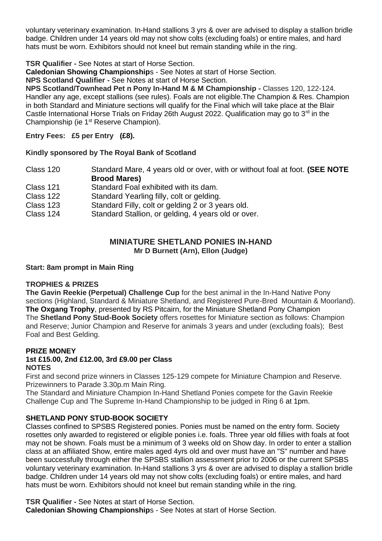voluntary veterinary examination. In-Hand stallions 3 yrs & over are advised to display a stallion bridle badge. Children under 14 years old may not show colts (excluding foals) or entire males, and hard hats must be worn. Exhibitors should not kneel but remain standing while in the ring.

#### **TSR Qualifier -** See Notes at start of Horse Section.

**Caledonian Showing Championship**s - See Notes at start of Horse Section.

**NPS Scotland Qualifier -** See Notes at start of Horse Section.

**NPS Scotland/Townhead Pet n Pony In-Hand M & M Championship -** Classes 120, 122-124. Handler any age, except stallions (see rules). Foals are not eligible.The Champion & Res. Champion in both Standard and Miniature sections will qualify for the Final which will take place at the Blair Castle International Horse Trials on Friday 26th August 2022. Qualification may go to  $3<sup>rd</sup>$  in the Championship (ie 1st Reserve Champion).

**Entry Fees: £5 per Entry (£8).** 

#### **Kindly sponsored by The Royal Bank of Scotland**

- Class 120 Standard Mare, 4 years old or over, with or without foal at foot. **(SEE NOTE Brood Mares)**
- Class 121 Standard Foal exhibited with its dam.
- Class 122 Standard Yearling filly, colt or gelding.
- Class 123 Standard Filly, colt or gelding 2 or 3 years old.<br>Class 124 Standard Stallion, or gelding, 4 years old or ov
- Standard Stallion, or gelding, 4 years old or over.

#### **MINIATURE SHETI AND PONIES IN-HAND Mr D Burnett (Arn), Ellon (Judge)**

#### **Start: 8am prompt in Main Ring**

#### **TROPHIES & PRIZES**

**The Gavin Reekie (Perpetual) Challenge Cup** for the best animal in the In-Hand Native Pony sections (Highland, Standard & Miniature Shetland, and Registered Pure-Bred Mountain & Moorland). **The Oxgang Trophy**, presented by RS Pitcairn, for the Miniature Shetland Pony Champion The **Shetland Pony Stud-Book Society** offers rosettes for Miniature section as follows: Champion and Reserve; Junior Champion and Reserve for animals 3 years and under (excluding foals); Best Foal and Best Gelding.

## **PRIZE MONEY**

#### **1st £15.00, 2nd £12.00, 3rd £9.00 per Class NOTES**

First and second prize winners in Classes 125-129 compete for Miniature Champion and Reserve. Prizewinners to Parade 3.30p.m Main Ring.

The Standard and Miniature Champion In-Hand Shetland Ponies compete for the Gavin Reekie Challenge Cup and The Supreme In-Hand Championship to be judged in Ring 6 at 1pm.

### **SHETLAND PONY STUD-BOOK SOCIETY**

Classes confined to SPSBS Registered ponies. Ponies must be named on the entry form. Society rosettes only awarded to registered or eligible ponies i.e. foals. Three year old fillies with foals at foot may not be shown. Foals must be a minimum of 3 weeks old on Show day. In order to enter a stallion class at an affiliated Show, entire males aged 4yrs old and over must have an "S" number and have been successfully through either the SPSBS stallion assessment prior to 2006 or the current SPSBS voluntary veterinary examination. In-Hand stallions 3 yrs & over are advised to display a stallion bridle badge. Children under 14 years old may not show colts (excluding foals) or entire males, and hard hats must be worn. Exhibitors should not kneel but remain standing while in the ring.

**TSR Qualifier -** See Notes at start of Horse Section. **Caledonian Showing Championship**s - See Notes at start of Horse Section.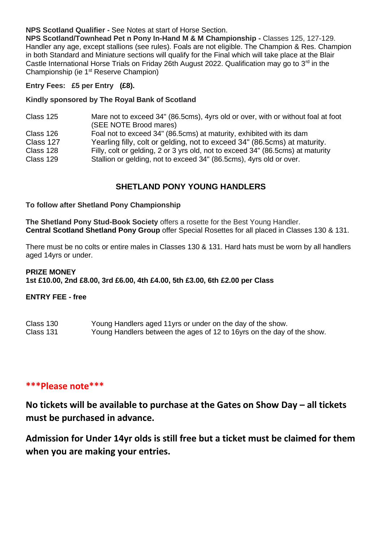#### **NPS Scotland Qualifier -** See Notes at start of Horse Section.

**NPS Scotland/Townhead Pet n Pony In-Hand M & M Championship -** Classes 125, 127-129. Handler any age, except stallions (see rules). Foals are not eligible. The Champion & Res. Champion in both Standard and Miniature sections will qualify for the Final which will take place at the Blair Castle International Horse Trials on Friday 26th August 2022. Qualification may go to  $3<sup>rd</sup>$  in the Championship (ie 1st Reserve Champion)

#### **Entry Fees: £5 per Entry (£8).**

#### **Kindly sponsored by The Royal Bank of Scotland**

| Class 125 | Mare not to exceed 34" (86.5cms), 4yrs old or over, with or without foal at foot |
|-----------|----------------------------------------------------------------------------------|
|           | (SEE NOTE Brood mares)                                                           |
| Class 126 | Foal not to exceed 34" (86.5cms) at maturity, exhibited with its dam             |
| Class 127 | Yearling filly, colt or gelding, not to exceed 34" (86.5cms) at maturity.        |
| Class 128 | Filly, colt or gelding, 2 or 3 yrs old, not to exceed 34" (86.5cms) at maturity  |
| Class 129 | Stallion or gelding, not to exceed 34" (86.5cms), 4yrs old or over.              |

### **SHETLAND PONY YOUNG HANDLERS**

#### **To follow after Shetland Pony Championship**

**The Shetland Pony Stud-Book Society** offers a rosette for the Best Young Handler. **Central Scotland Shetland Pony Group** offer Special Rosettes for all placed in Classes 130 & 131.

There must be no colts or entire males in Classes 130 & 131. Hard hats must be worn by all handlers aged 14yrs or under.

#### **PRIZE MONEY 1st £10.00, 2nd £8.00, 3rd £6.00, 4th £4.00, 5th £3.00, 6th £2.00 per Class**

#### **ENTRY FEE - free**

| Class 130 | Young Handlers aged 11 yrs or under on the day of the show.            |
|-----------|------------------------------------------------------------------------|
| Class 131 | Young Handlers between the ages of 12 to 16yrs on the day of the show. |

#### **\*\*\*Please note\*\*\***

**No tickets will be available to purchase at the Gates on Show Day – all tickets must be purchased in advance.** 

**Admission for Under 14yr olds is still free but a ticket must be claimed for them when you are making your entries.**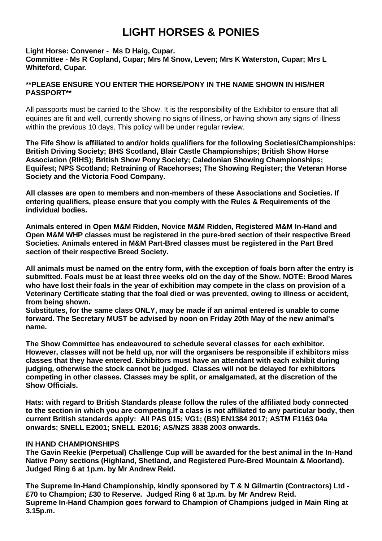## **LIGHT HORSES & PONIES**

#### **Light Horse: Convener - Ms D Haig, Cupar.**

**Committee - Ms R Copland, Cupar; Mrs M Snow, Leven; Mrs K Waterston, Cupar; Mrs L Whiteford, Cupar.**

#### **\*\*PLEASE ENSURE YOU ENTER THE HORSE/PONY IN THE NAME SHOWN IN HIS/HER PASSPORT\*\***

All passports must be carried to the Show. It is the responsibility of the Exhibitor to ensure that all equines are fit and well, currently showing no signs of illness, or having shown any signs of illness within the previous 10 days. This policy will be under regular review.

**The Fife Show is affiliated to and/or holds qualifiers for the following Societies/Championships: British Driving Society; BHS Scotland, Blair Castle Championships; British Show Horse Association (RIHS); British Show Pony Society; Caledonian Showing Championships; Equifest; NPS Scotland; Retraining of Racehorses; The Showing Register; the Veteran Horse Society and the Victoria Food Company.**

**All classes are open to members and non-members of these Associations and Societies. If entering qualifiers, please ensure that you comply with the Rules & Requirements of the individual bodies.** 

**Animals entered in Open M&M Ridden, Novice M&M Ridden, Registered M&M In-Hand and Open M&M WHP classes must be registered in the pure-bred section of their respective Breed Societies. Animals entered in M&M Part-Bred classes must be registered in the Part Bred section of their respective Breed Society.** 

**All animals must be named on the entry form, with the exception of foals born after the entry is submitted. Foals must be at least three weeks old on the day of the Show. NOTE: Brood Mares who have lost their foals in the year of exhibition may compete in the class on provision of a Veterinary Certificate stating that the foal died or was prevented, owing to illness or accident, from being shown.**

**Substitutes, for the same class ONLY, may be made if an animal entered is unable to come forward. The Secretary MUST be advised by noon on Friday 20th May of the new animal's name.** 

**The Show Committee has endeavoured to schedule several classes for each exhibitor. However, classes will not be held up, nor will the organisers be responsible if exhibitors miss classes that they have entered. Exhibitors must have an attendant with each exhibit during judging, otherwise the stock cannot be judged. Classes will not be delayed for exhibitors competing in other classes. Classes may be split, or amalgamated, at the discretion of the Show Officials.**

**Hats: with regard to British Standards please follow the rules of the affiliated body connected to the section in which you are competing.If a class is not affiliated to any particular body, then current British standards apply: All PAS 015; VG1; (BS) EN1384 2017; ASTM F1163 04a onwards; SNELL E2001; SNELL E2016; AS/NZS 3838 2003 onwards.** 

#### **IN HAND CHAMPIONSHIPS**

**The Gavin Reekie (Perpetual) Challenge Cup will be awarded for the best animal in the In-Hand Native Pony sections (Highland, Shetland, and Registered Pure-Bred Mountain & Moorland). Judged Ring 6 at 1p.m. by Mr Andrew Reid.** 

**The Supreme In-Hand Championship, kindly sponsored by T & N Gilmartin (Contractors) Ltd - £70 to Champion; £30 to Reserve. Judged Ring 6 at 1p.m. by Mr Andrew Reid. Supreme In-Hand Champion goes forward to Champion of Champions judged in Main Ring at 3.15p.m.**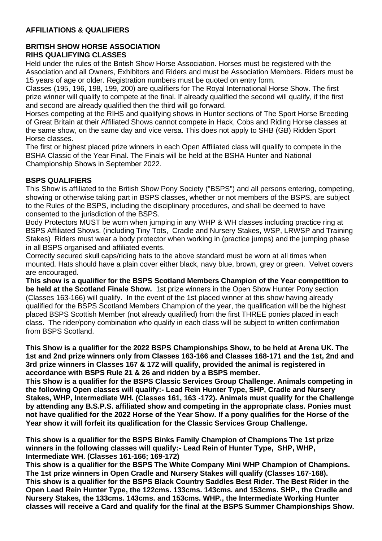#### **AFFILIATIONS & QUALIFIERS**

#### **BRITISH SHOW HORSE ASSOCIATION RIHS QUALIFYING CLASSES**

Held under the rules of the British Show Horse Association. Horses must be registered with the Association and all Owners, Exhibitors and Riders and must be Association Members. Riders must be 15 years of age or older. Registration numbers must be quoted on entry form.

Classes (195, 196, 198, 199, 200) are qualifiers for The Royal International Horse Show. The first prize winner will qualify to compete at the final. If already qualified the second will qualify, if the first and second are already qualified then the third will go forward.

Horses competing at the RIHS and qualifying shows in Hunter sections of The Sport Horse Breeding of Great Britain at their Affiliated Shows cannot compete in Hack, Cobs and Riding Horse classes at the same show, on the same day and vice versa. This does not apply to SHB (GB) Ridden Sport Horse classes.

The first or highest placed prize winners in each Open Affiliated class will qualify to compete in the BSHA Classic of the Year Final. The Finals will be held at the BSHA Hunter and National Championship Shows in September 2022.

#### **BSPS QUALIFIERS**

This Show is affiliated to the British Show Pony Society ("BSPS") and all persons entering, competing, showing or otherwise taking part in BSPS classes, whether or not members of the BSPS, are subject to the Rules of the BSPS, including the disciplinary procedures, and shall be deemed to have consented to the jurisdiction of the BSPS.

Body Protectors MUST be worn when jumping in any WHP & WH classes including practice ring at BSPS Affiliated Shows. (including Tiny Tots, Cradle and Nursery Stakes, WSP, LRWSP and Training Stakes) Riders must wear a body protector when working in (practice jumps) and the jumping phase in all BSPS organised and affiliated events.

Correctly secured skull caps/riding hats to the above standard must be worn at all times when mounted. Hats should have a plain cover either black, navy blue, brown, grey or green. Velvet covers are encouraged.

**This show is a qualifier for the BSPS Scotland Members Champion of the Year competition to be held at the Scotland Finale Show.** 1st prize winners in the Open Show Hunter Pony section (Classes 163-166) will qualify. In the event of the 1st placed winner at this show having already qualified for the BSPS Scotland Members Champion of the year, the qualification will be the highest placed BSPS Scottish Member (not already qualified) from the first THREE ponies placed in each class. The rider/pony combination who qualify in each class will be subject to written confirmation from BSPS Scotland.

**This Show is a qualifier for the 2022 BSPS Championships Show, to be held at Arena UK. The 1st and 2nd prize winners only from Classes 163-166 and Classes 168-171 and the 1st, 2nd and 3rd prize winners in Classes 167 & 172 will qualify, provided the animal is registered in accordance with BSPS Rule 21 & 26 and ridden by a BSPS member.** 

**This Show is a qualifier for the BSPS Classic Services Group Challenge. Animals competing in the following Open classes will qualify:- Lead Rein Hunter Type, SHP, Cradle and Nursery Stakes, WHP, Intermediate WH. (Classes 161, 163 -172). Animals must qualify for the Challenge by attending any B.S.P.S. affiliated show and competing in the appropriate class. Ponies must not have qualified for the 2022 Horse of the Year Show. If a pony qualifies for the Horse of the Year show it will forfeit its qualification for the Classic Services Group Challenge.** 

**This show is a qualifier for the BSPS Binks Family Champion of Champions The 1st prize winners in the following classes will qualify:- Lead Rein of Hunter Type, SHP, WHP, Intermediate WH. (Classes 161-166; 169-172)**

**This show is a qualifier for the BSPS The White Company Mini WHP Champion of Champions. The 1st prize winners in Open Cradle and Nursery Stakes will qualify (Classes 167-168). This show is a qualifier for the BSPS Black Country Saddles Best Rider. The Best Rider in the Open Lead Rein Hunter Type, the 122cms. 133cms. 143cms. and 153cms. SHP., the Cradle and Nursery Stakes, the 133cms. 143cms. and 153cms. WHP., the Intermediate Working Hunter classes will receive a Card and qualify for the final at the BSPS Summer Championships Show.**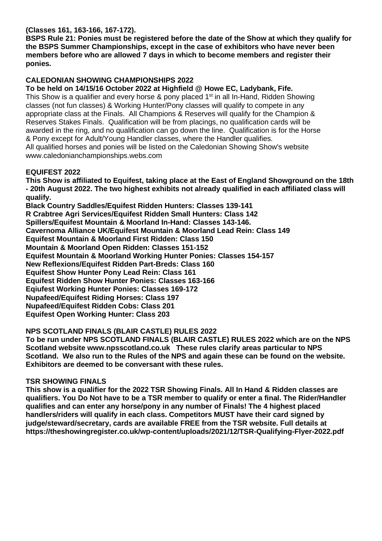#### **(Classes 161, 163-166, 167-172).**

**BSPS Rule 21: Ponies must be registered before the date of the Show at which they qualify for the BSPS Summer Championships, except in the case of exhibitors who have never been members before who are allowed 7 days in which to become members and register their ponies.**

#### **CALEDONIAN SHOWING CHAMPIONSHIPS 2022**

**To be held on 14/15/16 October 2022 at Highfield @ Howe EC, Ladybank, Fife.** This Show is a qualifier and every horse & pony placed 1<sup>st</sup> in all In-Hand, Ridden Showing classes (not fun classes) & Working Hunter/Pony classes will qualify to compete in any appropriate class at the Finals. All Champions & Reserves will qualify for the Champion & Reserves Stakes Finals. Qualification will be from placings, no qualification cards will be awarded in the ring, and no qualification can go down the line. Qualification is for the Horse & Pony except for Adult/Young Handler classes, where the Handler qualifies. All qualified horses and ponies will be listed on the Caledonian Showing Show's website www.caledonianchampionships.webs.com

#### **EQUIFEST 2022**

**This Show is affiliated to Equifest, taking place at the East of England Showground on the 18th - 20th August 2022. The two highest exhibits not already qualified in each affiliated class will qualify.** 

**Black Country Saddles/Equifest Ridden Hunters: Classes 139-141 R Crabtree Agri Services/Equifest Ridden Small Hunters: Class 142 Spillers/Equifest Mountain & Moorland In-Hand: Classes 143-146. Cavernoma Alliance UK/Equifest Mountain & Moorland Lead Rein: Class 149 Equifest Mountain & Moorland First Ridden: Class 150 Mountain & Moorland Open Ridden: Classes 151-152 Equifest Mountain & Moorland Working Hunter Ponies: Classes 154-157 New Reflexions/Equifest Ridden Part-Breds: Class 160 Equifest Show Hunter Pony Lead Rein: Class 161 Equifest Ridden Show Hunter Ponies: Classes 163-166 Eqiufest Working Hunter Ponies: Classes 169-172 Nupafeed/Equifest Riding Horses: Class 197 Nupafeed/Equifest Ridden Cobs: Class 201 Equifest Open Working Hunter: Class 203**

#### **NPS SCOTLAND FINALS (BLAIR CASTLE) RULES 2022**

**To be run under NPS SCOTLAND FINALS (BLAIR CASTLE) RULES 2022 which are on the NPS Scotland website www.npsscotland.co.uk These rules clarify areas particular to NPS Scotland. We also run to the Rules of the NPS and again these can be found on the website. Exhibitors are deemed to be conversant with these rules.**

#### **TSR SHOWING FINALS**

**This show is a qualifier for the 2022 TSR Showing Finals. All In Hand & Ridden classes are qualifiers. You Do Not have to be a TSR member to qualify or enter a final. The Rider/Handler qualifies and can enter any horse/pony in any number of Finals! The 4 highest placed handlers/riders will qualify in each class. Competitors MUST have their card signed by judge/steward/secretary, cards are available FREE from the TSR website. Full details at https://theshowingregister.co.uk/wp-content/uploads/2021/12/TSR-Qualifying-Flyer-2022.pdf**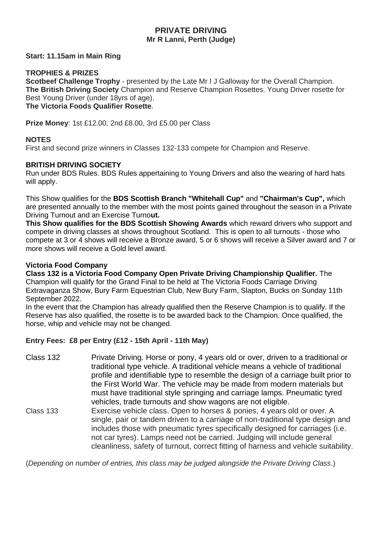#### **PRIVATE DRIVING Mr R Lanni, Perth (Judge)**

#### **Start: 11.15am in Main Ring**

#### **TROPHIES & PRIZES**

**Scotbeef Challenge Trophy** - presented by the Late Mr I J Galloway for the Overall Champion. **The British Driving Society** Champion and Reserve Champion Rosettes. Young Driver rosette for Best Young Driver (under 18yrs of age).

**The Victoria Foods Qualifier Rosette**.

**Prize Money**: 1st £12.00, 2nd £8.00, 3rd £5.00 per Class

#### **NOTES**

First and second prize winners in Classes 132-133 compete for Champion and Reserve.

#### **BRITISH DRIVING SOCIETY**

Run under BDS Rules. BDS Rules appertaining to Young Drivers and also the wearing of hard hats will apply.

This Show qualifies for the **BDS Scottish Branch "Whitehall Cup"** and **"Chairman's Cup",** which are presented annually to the member with the most points gained throughout the season in a Private Driving Turnout and an Exercise Turno**ut.**

**This Show qualifies for the BDS Scottish Showing Awards** which reward drivers who support and compete in driving classes at shows throughout Scotland. This is open to all turnouts - those who compete at 3 or 4 shows will receive a Bronze award, 5 or 6 shows will receive a Silver award and 7 or more shows will receive a Gold level award.

#### **Victoria Food Company**

**Class 132 is a Victoria Food Company Open Private Driving Championship Qualifier.** The Champion will qualify for the Grand Final to be held at The Victoria Foods Carriage Driving Extravaganza Show, Bury Farm Equestrian Club, New Bury Farm, Slapton, Bucks on Sunday 11th September 2022.

In the event that the Champion has already qualified then the Reserve Champion is to qualify. If the Reserve has also qualified, the rosette is to be awarded back to the Champion. Once qualified, the horse, whip and vehicle may not be changed.

#### **Entry Fees: £8 per Entry (£12 - 15th April - 11th May)**

- Class 132 Private Driving. Horse or pony, 4 years old or over, driven to a traditional or traditional type vehicle. A traditional vehicle means a vehicle of traditional profile and identifiable type to resemble the design of a carriage built prior to the First World War. The vehicle may be made from modern materials but must have traditional style springing and carriage lamps. Pneumatic tyred vehicles, trade turnouts and show wagons are not eligible. Class 133 Exercise vehicle class. Open to horses & ponies, 4 years old or over. A
- single, pair or tandem driven to a carriage of non-traditional type design and includes those with pneumatic tyres specifically designed for carriages (i.e. not car tyres). Lamps need not be carried. Judging will include general cleanliness, safety of turnout, correct fitting of harness and vehicle suitability.

(*Depending on number of entries, this class may be judged alongside the Private Driving Class*.)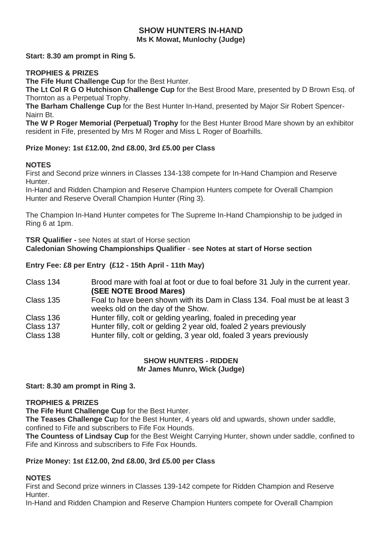#### **SHOW HUNTERS IN-HAND Ms K Mowat, Munlochy (Judge)**

**Start: 8.30 am prompt in Ring 5.**

#### **TROPHIES & PRIZES**

**The Fife Hunt Challenge Cup** for the Best Hunter.

**The Lt Col R G O Hutchison Challenge Cup** for the Best Brood Mare, presented by D Brown Esq. of Thornton as a Perpetual Trophy.

**The Barham Challenge Cup** for the Best Hunter In-Hand, presented by Major Sir Robert Spencer-Nairn Bt.

**The W P Roger Memorial (Perpetual) Trophy** for the Best Hunter Brood Mare shown by an exhibitor resident in Fife, presented by Mrs M Roger and Miss L Roger of Boarhills.

#### **Prize Money: 1st £12.00, 2nd £8.00, 3rd £5.00 per Class**

#### **NOTES**

First and Second prize winners in Classes 134-138 compete for In-Hand Champion and Reserve Hunter.

In-Hand and Ridden Champion and Reserve Champion Hunters compete for Overall Champion Hunter and Reserve Overall Champion Hunter (Ring 3).

The Champion In-Hand Hunter competes for The Supreme In-Hand Championship to be judged in Ring 6 at 1pm.

**TSR Qualifier -** see Notes at start of Horse section **Caledonian Showing Championships Qualifier** - **see Notes at start of Horse section**

#### **Entry Fee: £8 per Entry (£12 - 15th April - 11th May)**

Class 134 Brood mare with foal at foot or due to foal before 31 July in the current year. **(SEE NOTE Brood Mares)**

- Class 135 Foal to have been shown with its Dam in Class 134. Foal must be at least 3 weeks old on the day of the Show.
- Class 136 Hunter filly, colt or gelding yearling, foaled in preceding year<br>Class 137 Hunter filly colt or gelding 2 year old foaled 2 years previou
- Class 137 Hunter filly, colt or gelding 2 year old, foaled 2 years previously
	- Hunter filly, colt or gelding, 3 year old, foaled 3 years previously

#### **SHOW HUNTERS - RIDDEN Mr James Munro, Wick (Judge)**

**Start: 8.30 am prompt in Ring 3.**

#### **TROPHIES & PRIZES**

**The Fife Hunt Challenge Cup** for the Best Hunter.

**The Teases Challenge Cu**p for the Best Hunter, 4 years old and upwards, shown under saddle, confined to Fife and subscribers to Fife Fox Hounds.

**The Countess of Lindsay Cup** for the Best Weight Carrying Hunter, shown under saddle, confined to Fife and Kinross and subscribers to Fife Fox Hounds.

#### **Prize Money: 1st £12.00, 2nd £8.00, 3rd £5.00 per Class**

#### **NOTES**

First and Second prize winners in Classes 139-142 compete for Ridden Champion and Reserve Hunter.

In-Hand and Ridden Champion and Reserve Champion Hunters compete for Overall Champion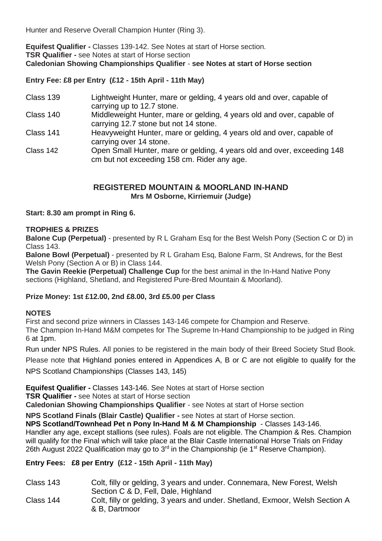Hunter and Reserve Overall Champion Hunter (Ring 3).

**Equifest Qualifier -** Classes 139-142. See Notes at start of Horse section. **TSR Qualifier -** see Notes at start of Horse section **Caledonian Showing Championships Qualifier** - **see Notes at start of Horse section**

**Entry Fee: £8 per Entry (£12 - 15th April - 11th May)**

- Class 139 Lightweight Hunter, mare or gelding, 4 years old and over, capable of carrying up to 12.7 stone.
- Class 140 Middleweight Hunter, mare or gelding, 4 years old and over, capable of carrying 12.7 stone but not 14 stone.
- Class 141 Heavyweight Hunter, mare or gelding, 4 years old and over, capable of carrying over 14 stone.
- Class 142 Open Small Hunter, mare or gelding, 4 years old and over, exceeding 148 cm but not exceeding 158 cm. Rider any age.

#### **REGISTERED MOUNTAIN & MOORLAND IN-HAND Mrs M Osborne, Kirriemuir (Judge)**

**Start: 8.30 am prompt in Ring 6.**

#### **TROPHIES & PRIZES**

**Balone Cup (Perpetual)** - presented by R L Graham Esq for the Best Welsh Pony (Section C or D) in Class 143.

**Balone Bowl (Perpetual)** - presented by R L Graham Esq, Balone Farm, St Andrews, for the Best Welsh Pony (Section A or B) in Class 144.

**The Gavin Reekie (Perpetual) Challenge Cup** for the best animal in the In-Hand Native Pony sections (Highland, Shetland, and Registered Pure-Bred Mountain & Moorland).

#### **Prize Money: 1st £12.00, 2nd £8.00, 3rd £5.00 per Class**

#### **NOTES**

First and second prize winners in Classes 143-146 compete for Champion and Reserve. The Champion In-Hand M&M competes for The Supreme In-Hand Championship to be judged in Ring 6 at 1pm.

Run under NPS Rules. All ponies to be registered in the main body of their Breed Society Stud Book.

Please note that Highland ponies entered in Appendices A, B or C are not eligible to qualify for the

NPS Scotland Championships (Classes 143, 145)

**Equifest Qualifier -** Classes 143-146. See Notes at start of Horse section

**TSR Qualifier -** see Notes at start of Horse section

**Caledonian Showing Championships Qualifier** - see Notes at start of Horse section

**NPS Scotland Finals (Blair Castle) Qualifier -** see Notes at start of Horse section.

**NPS Scotland/Townhead Pet n Pony In-Hand M & M Championship** - Classes 143-146. Handler any age, except stallions (see rules). Foals are not eligible. The Champion & Res. Champion will qualify for the Final which will take place at the Blair Castle International Horse Trials on Friday 26th August 2022 Qualification may go to  $3<sup>rd</sup>$  in the Championship (ie 1<sup>st</sup> Reserve Champion).

#### **Entry Fees: £8 per Entry (£12 - 15th April - 11th May)**

- Class 143 Colt, filly or gelding, 3 years and under. Connemara, New Forest, Welsh Section C & D, Fell, Dale, Highland
- Class 144 Colt, filly or gelding, 3 years and under. Shetland, Exmoor, Welsh Section A & B, Dartmoor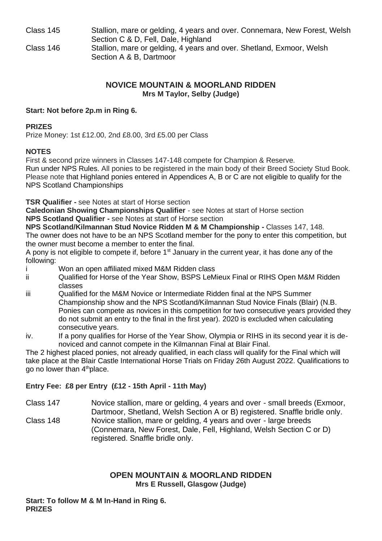Class 145 Stallion, mare or gelding, 4 years and over. Connemara, New Forest, Welsh Section C & D, Fell, Dale, Highland Class 146 Stallion, mare or gelding, 4 years and over. Shetland, Exmoor, Welsh Section A & B, Dartmoor

#### **NOVICE MOUNTAIN & MOORLAND RIDDEN Mrs M Taylor, Selby (Judge)**

#### **Start: Not before 2p.m in Ring 6.**

#### **PRIZES**

Prize Money: 1st £12.00, 2nd £8.00, 3rd £5.00 per Class

#### **NOTES**

First & second prize winners in Classes 147-148 compete for Champion & Reserve.

Run under NPS Rules. All ponies to be registered in the main body of their Breed Society Stud Book. Please note that Highland ponies entered in Appendices A, B or C are not eligible to qualify for the NPS Scotland Championships

**TSR Qualifier -** see Notes at start of Horse section

**Caledonian Showing Championships Qualifier** - see Notes at start of Horse section **NPS Scotland Qualifier -** see Notes at start of Horse section

**NPS Scotland/Kilmannan Stud Novice Ridden M & M Championship -** Classes 147, 148. The owner does not have to be an NPS Scotland member for the pony to enter this competition, but the owner must become a member to enter the final.

A pony is not eligible to compete if, before  $1<sup>st</sup>$  January in the current year, it has done any of the following:

- i Won an open affiliated mixed M&M Ridden class
- ii Qualified for Horse of the Year Show, BSPS LeMieux Final or RIHS Open M&M Ridden classes
- iii Qualified for the M&M Novice or Intermediate Ridden final at the NPS Summer Championship show and the NPS Scotland/Kilmannan Stud Novice Finals (Blair) (N.B. Ponies can compete as novices in this competition for two consecutive years provided they do not submit an entry to the final in the first year). 2020 is excluded when calculating consecutive years.
- iv. If a pony qualifies for Horse of the Year Show, Olympia or RIHS in its second year it is denoviced and cannot compete in the Kilmannan Final at Blair Final.

The 2 highest placed ponies, not already qualified, in each class will qualify for the Final which will take place at the Blair Castle International Horse Trials on Friday 26th August 2022. Qualifications to go no lower than 4<sup>th</sup>place.

#### **Entry Fee: £8 per Entry (£12 - 15th April - 11th May)**

Class 147 Novice stallion, mare or gelding, 4 years and over - small breeds (Exmoor, Dartmoor, Shetland, Welsh Section A or B) registered. Snaffle bridle only. Class 148 Novice stallion, mare or gelding, 4 years and over - large breeds (Connemara, New Forest, Dale, Fell, Highland, Welsh Section C or D) registered. Snaffle bridle only.

#### **OPEN MOUNTAIN & MOORLAND RIDDEN Mrs E Russell, Glasgow (Judge)**

**Start: To follow M & M In-Hand in Ring 6. PRIZES**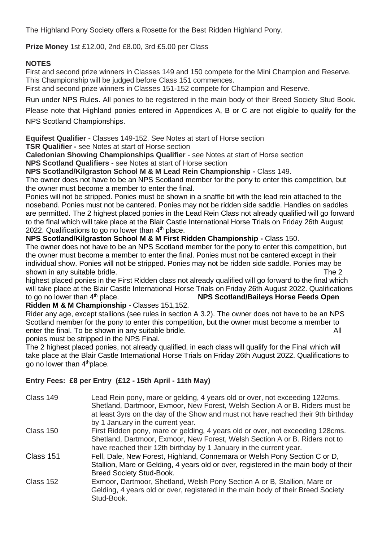The Highland Pony Society offers a Rosette for the Best Ridden Highland Pony.

**Prize Money** 1st £12.00, 2nd £8.00, 3rd £5.00 per Class

#### **NOTES**

First and second prize winners in Classes 149 and 150 compete for the Mini Champion and Reserve. This Championship will be judged before Class 151 commences.

First and second prize winners in Classes 151-152 compete for Champion and Reserve.

Run under NPS Rules. All ponies to be registered in the main body of their Breed Society Stud Book.

Please note that Highland ponies entered in Appendices A, B or C are not eligible to qualify for the NPS Scotland Championships.

**Equifest Qualifier -** Classes 149-152. See Notes at start of Horse section

**TSR Qualifier -** see Notes at start of Horse section

**Caledonian Showing Championships Qualifier** - see Notes at start of Horse section

**NPS Scotland Qualifiers -** see Notes at start of Horse section

**NPS Scotland/Kilgraston School M & M Lead Rein Championship -** Class 149.

The owner does not have to be an NPS Scotland member for the pony to enter this competition, but the owner must become a member to enter the final.

Ponies will not be stripped. Ponies must be shown in a snaffle bit with the lead rein attached to the noseband. Ponies must not be cantered. Ponies may not be ridden side saddle. Handles on saddles are permitted. The 2 highest placed ponies in the Lead Rein Class not already qualified will go forward to the final which will take place at the Blair Castle International Horse Trials on Friday 26th August 2022. Qualifications to go no lower than  $4<sup>th</sup>$  place.

**NPS Scotland/Kilgraston School M & M First Ridden Championship -** Class 150.

The owner does not have to be an NPS Scotland member for the pony to enter this competition, but the owner must become a member to enter the final. Ponies must not be cantered except in their individual show. Ponies will not be stripped. Ponies may not be ridden side saddle. Ponies may be shown in any suitable bridle. The 2 shown in any suitable bridle.

highest placed ponies in the First Ridden class not already qualified will go forward to the final which will take place at the Blair Castle International Horse Trials on Friday 26th August 2022. Qualifications to go no lower than 4th place. **NPS Scotland/Baileys Horse Feeds Open** 

**Ridden M & M Championship -** Classes 151,152.

Rider any age, except stallions (see rules in section A 3.2). The owner does not have to be an NPS Scotland member for the pony to enter this competition, but the owner must become a member to enter the final. To be shown in any suitable bridle. All the state of the state of the state of the state of the All

ponies must be stripped in the NPS Final.

The 2 highest placed ponies, not already qualified, in each class will qualify for the Final which will take place at the Blair Castle International Horse Trials on Friday 26th August 2022. Qualifications to go no lower than 4<sup>th</sup>place.

#### **Entry Fees: £8 per Entry (£12 - 15th April - 11th May)**

| Class 149 | Lead Rein pony, mare or gelding, 4 years old or over, not exceeding 122cms.<br>Shetland, Dartmoor, Exmoor, New Forest, Welsh Section A or B. Riders must be<br>at least 3yrs on the day of the Show and must not have reached their 9th birthday |
|-----------|--------------------------------------------------------------------------------------------------------------------------------------------------------------------------------------------------------------------------------------------------|
|           | by 1 January in the current year.                                                                                                                                                                                                                |
| Class 150 | First Ridden pony, mare or gelding, 4 years old or over, not exceeding 128cms.                                                                                                                                                                   |
|           | Shetland, Dartmoor, Exmoor, New Forest, Welsh Section A or B. Riders not to                                                                                                                                                                      |
|           | have reached their 12th birthday by 1 January in the current year.                                                                                                                                                                               |
| Class 151 | Fell, Dale, New Forest, Highland, Connemara or Welsh Pony Section C or D.                                                                                                                                                                        |
|           | Stallion, Mare or Gelding, 4 years old or over, registered in the main body of their                                                                                                                                                             |
|           | <b>Breed Society Stud-Book.</b>                                                                                                                                                                                                                  |
| Class 152 | Exmoor, Dartmoor, Shetland, Welsh Pony Section A or B, Stallion, Mare or                                                                                                                                                                         |
|           | Gelding, 4 years old or over, registered in the main body of their Breed Society                                                                                                                                                                 |
|           | Stud-Book.                                                                                                                                                                                                                                       |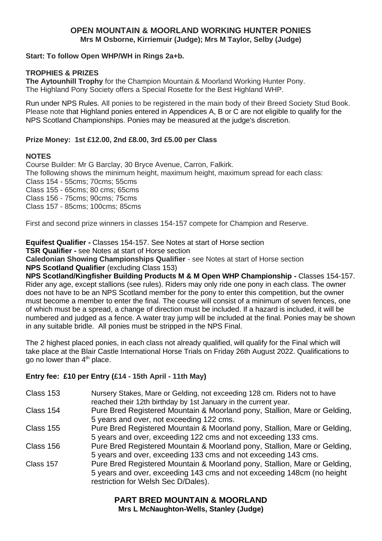#### **OPEN MOUNTAIN & MOORLAND WORKING HUNTER PONIES Mrs M Osborne, Kirriemuir (Judge); Mrs M Taylor, Selby (Judge)**

#### **Start: To follow Open WHP/WH in Rings 2a+b.**

#### **TROPHIES & PRIZES**

**The Aytounhill Trophy** for the Champion Mountain & Moorland Working Hunter Pony. The Highland Pony Society offers a Special Rosette for the Best Highland WHP.

Run under NPS Rules. All ponies to be registered in the main body of their Breed Society Stud Book. Please note that Highland ponies entered in Appendices A, B or C are not eligible to qualify for the NPS Scotland Championships. Ponies may be measured at the judge's discretion.

#### **Prize Money: 1st £12.00, 2nd £8.00, 3rd £5.00 per Class**

#### **NOTES**

Course Builder: Mr G Barclay, 30 Bryce Avenue, Carron, Falkirk. The following shows the minimum height, maximum height, maximum spread for each class: Class 154 - 55cms; 70cms; 55cms Class 155 - 65cms; 80 cms; 65cms Class 156 - 75cms; 90cms; 75cms Class 157 - 85cms; 100cms; 85cms

First and second prize winners in classes 154-157 compete for Champion and Reserve.

#### **Equifest Qualifier -** Classes 154-157. See Notes at start of Horse section

**TSR Qualifier -** see Notes at start of Horse section

**Caledonian Showing Championships Qualifier** - see Notes at start of Horse section **NPS Scotland Qualifier** (excluding Class 153)

**NPS Scotland/Kingfisher Building Products M & M Open WHP Championship -** Classes 154-157. Rider any age, except stallions (see rules). Riders may only ride one pony in each class. The owner does not have to be an NPS Scotland member for the pony to enter this competition, but the owner must become a member to enter the final. The course will consist of a minimum of seven fences, one of which must be a spread, a change of direction must be included. If a hazard is included, it will be numbered and judged as a fence. A water tray jump will be included at the final. Ponies may be shown in any suitable bridle. All ponies must be stripped in the NPS Final.

The 2 highest placed ponies, in each class not already qualified, will qualify for the Final which will take place at the Blair Castle International Horse Trials on Friday 26th August 2022. Qualifications to go no lower than  $4<sup>th</sup>$  place.

#### **Entry fee: £10 per Entry (£14 - 15th April - 11th May)**

| Class 153 | Nursery Stakes, Mare or Gelding, not exceeding 128 cm. Riders not to have<br>reached their 12th birthday by 1st January in the current year.                                               |
|-----------|--------------------------------------------------------------------------------------------------------------------------------------------------------------------------------------------|
| Class 154 | Pure Bred Registered Mountain & Moorland pony, Stallion, Mare or Gelding,<br>5 years and over, not exceeding 122 cms.                                                                      |
| Class 155 | Pure Bred Registered Mountain & Moorland pony, Stallion, Mare or Gelding,<br>5 years and over, exceeding 122 cms and not exceeding 133 cms.                                                |
| Class 156 | Pure Bred Registered Mountain & Moorland pony, Stallion, Mare or Gelding,<br>5 years and over, exceeding 133 cms and not exceeding 143 cms.                                                |
| Class 157 | Pure Bred Registered Mountain & Moorland pony, Stallion, Mare or Gelding,<br>5 years and over, exceeding 143 cms and not exceeding 148cm (no height<br>restriction for Welsh Sec D/Dales). |

#### **PART BRED MOUNTAIN & MOORLAND Mrs L McNaughton-Wells, Stanley (Judge)**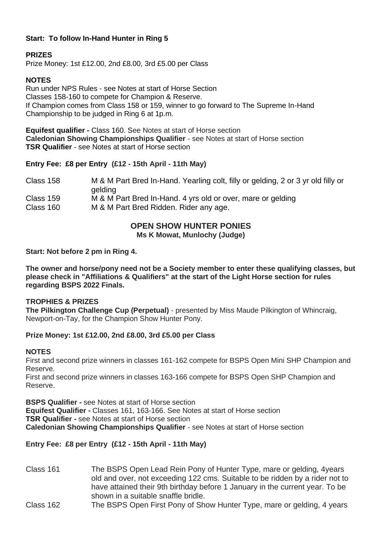#### **Start: To follow In-Hand Hunter in Ring 5**

#### **PRIZES**

Prize Money: 1st £12.00, 2nd £8.00, 3rd £5.00 per Class

#### **NOTES**

Run under NPS Rules - see Notes at start of Horse Section Classes 158-160 to compete for Champion & Reserve. If Champion comes from Class 158 or 159, winner to go forward to The Supreme In-Hand Championship to be judged in Ring 6 at 1p.m.

**Equifest qualifier -** Class 160. See Notes at start of Horse section **Caledonian Showing Championships Qualifier** - see Notes at start of Horse section **TSR Qualifier** - see Notes at start of Horse section

#### **Entry Fee: £8 per Entry (£12 - 15th April - 11th May)**

| Class 158 | M & M Part Bred In-Hand. Yearling colt, filly or gelding, 2 or 3 yr old filly or<br>qelding |
|-----------|---------------------------------------------------------------------------------------------|
| Class 159 | M & M Part Bred In-Hand. 4 yrs old or over, mare or gelding                                 |
| Class 160 | M & M Part Bred Ridden. Rider any age.                                                      |

### **OPEN SHOW HUNTER PONIES**

**Ms K Mowat, Munlochy (Judge)**

#### **Start: Not before 2 pm in Ring 4.**

**The owner and horse/pony need not be a Society member to enter these qualifying classes, but please check in "Affiliations & Qualifiers" at the start of the Light Horse section for rules regarding BSPS 2022 Finals.** 

#### **TROPHIES & PRIZES**

**The Pilkington Challenge Cup (Perpetual)** - presented by Miss Maude Pilkington of Whincraig, Newport-on-Tay, for the Champion Show Hunter Pony.

#### **Prize Money: 1st £12.00, 2nd £8.00, 3rd £5.00 per Class**

#### **NOTES**

First and second prize winners in classes 161-162 compete for BSPS Open Mini SHP Champion and Reserve.

First and second prize winners in classes 163-166 compete for BSPS Open SHP Champion and Reserve.

**BSPS Qualifier -** see Notes at start of Horse section **Equifest Qualifier -** Classes 161, 163-166. See Notes at start of Horse section **TSR Qualifier -** see Notes at start of Horse section **Caledonian Showing Championships Qualifier** - see Notes at start of Horse section

#### **Entry Fee: £8 per Entry (£12 - 15th April - 11th May)**

Class 161 The BSPS Open Lead Rein Pony of Hunter Type, mare or gelding, 4years old and over, not exceeding 122 cms. Suitable to be ridden by a rider not to have attained their 9th birthday before 1 January in the current year. To be shown in a suitable snaffle bridle.

### Class 162 The BSPS Open First Pony of Show Hunter Type, mare or gelding, 4 years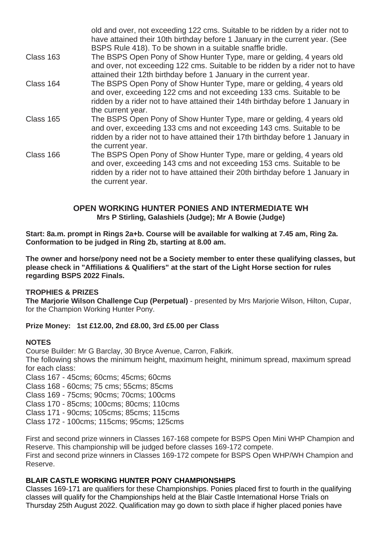|           | old and over, not exceeding 122 cms. Suitable to be ridden by a rider not to<br>have attained their 10th birthday before 1 January in the current year. (See<br>BSPS Rule 418). To be shown in a suitable snaffle bridle.                            |
|-----------|------------------------------------------------------------------------------------------------------------------------------------------------------------------------------------------------------------------------------------------------------|
| Class 163 | The BSPS Open Pony of Show Hunter Type, mare or gelding, 4 years old<br>and over, not exceeding 122 cms. Suitable to be ridden by a rider not to have<br>attained their 12th birthday before 1 January in the current year.                          |
| Class 164 | The BSPS Open Pony of Show Hunter Type, mare or gelding, 4 years old<br>and over, exceeding 122 cms and not exceeding 133 cms. Suitable to be<br>ridden by a rider not to have attained their 14th birthday before 1 January in<br>the current year. |
| Class 165 | The BSPS Open Pony of Show Hunter Type, mare or gelding, 4 years old<br>and over, exceeding 133 cms and not exceeding 143 cms. Suitable to be<br>ridden by a rider not to have attained their 17th birthday before 1 January in<br>the current year. |
| Class 166 | The BSPS Open Pony of Show Hunter Type, mare or gelding, 4 years old<br>and over, exceeding 143 cms and not exceeding 153 cms. Suitable to be<br>ridden by a rider not to have attained their 20th birthday before 1 January in<br>the current year. |

#### **OPEN WORKING HUNTER PONIES AND INTERMEDIATE WH Mrs P Stirling, Galashiels (Judge); Mr A Bowie (Judge)**

**Start: 8a.m. prompt in Rings 2a+b. Course will be available for walking at 7.45 am, Ring 2a. Conformation to be judged in Ring 2b, starting at 8.00 am.**

**The owner and horse/pony need not be a Society member to enter these qualifying classes, but please check in "Affiliations & Qualifiers" at the start of the Light Horse section for rules regarding BSPS 2022 Finals.**

#### **TROPHIES & PRIZES**

**The Marjorie Wilson Challenge Cup (Perpetual)** - presented by Mrs Marjorie Wilson, Hilton, Cupar, for the Champion Working Hunter Pony.

#### **Prize Money: 1st £12.00, 2nd £8.00, 3rd £5.00 per Class**

#### **NOTES**

Course Builder: Mr G Barclay, 30 Bryce Avenue, Carron, Falkirk.

The following shows the minimum height, maximum height, minimum spread, maximum spread for each class:

Class 167 - 45cms; 60cms; 45cms; 60cms

Class 168 - 60cms; 75 cms; 55cms; 85cms

Class 169 - 75cms; 90cms; 70cms; 100cms

Class 170 - 85cms; 100cms; 80cms; 110cms

Class 171 - 90cms; 105cms; 85cms; 115cms

Class 172 - 100cms; 115cms; 95cms; 125cms

First and second prize winners in Classes 167-168 compete for BSPS Open Mini WHP Champion and Reserve. This championship will be judged before classes 169-172 compete. First and second prize winners in Classes 169-172 compete for BSPS Open WHP/WH Champion and Reserve.

#### **BLAIR CASTLE WORKING HUNTER PONY CHAMPIONSHIPS**

Classes 169-171 are qualifiers for these Championships. Ponies placed first to fourth in the qualifying classes will qualify for the Championships held at the Blair Castle International Horse Trials on Thursday 25th August 2022. Qualification may go down to sixth place if higher placed ponies have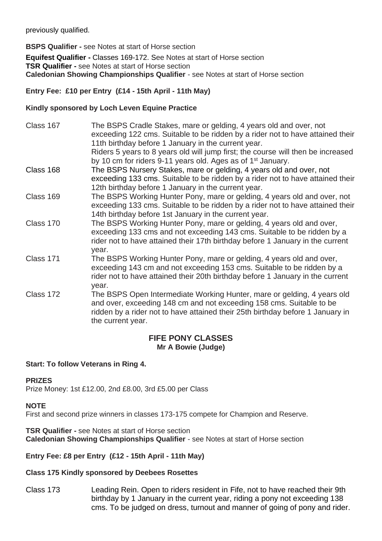previously qualified.

**BSPS Qualifier -** see Notes at start of Horse section

**Equifest Qualifier -** Classes 169-172. See Notes at start of Horse section **TSR Qualifier -** see Notes at start of Horse section **Caledonian Showing Championships Qualifier** - see Notes at start of Horse section

#### **Entry Fee: £10 per Entry (£14 - 15th April - 11th May)**

#### **Kindly sponsored by Loch Leven Equine Practice**

| Class 167 | The BSPS Cradle Stakes, mare or gelding, 4 years old and over, not<br>exceeding 122 cms. Suitable to be ridden by a rider not to have attained their<br>11th birthday before 1 January in the current year.<br>Riders 5 years to 8 years old will jump first; the course will then be increased<br>by 10 cm for riders 9-11 years old. Ages as of 1 <sup>st</sup> January. |
|-----------|----------------------------------------------------------------------------------------------------------------------------------------------------------------------------------------------------------------------------------------------------------------------------------------------------------------------------------------------------------------------------|
| Class 168 | The BSPS Nursery Stakes, mare or gelding, 4 years old and over, not<br>exceeding 133 cms. Suitable to be ridden by a rider not to have attained their<br>12th birthday before 1 January in the current year.                                                                                                                                                               |
| Class 169 | The BSPS Working Hunter Pony, mare or gelding, 4 years old and over, not<br>exceeding 133 cms. Suitable to be ridden by a rider not to have attained their<br>14th birthday before 1st January in the current year.                                                                                                                                                        |
| Class 170 | The BSPS Working Hunter Pony, mare or gelding, 4 years old and over,<br>exceeding 133 cms and not exceeding 143 cms. Suitable to be ridden by a<br>rider not to have attained their 17th birthday before 1 January in the current<br>year.                                                                                                                                 |
| Class 171 | The BSPS Working Hunter Pony, mare or gelding, 4 years old and over,<br>exceeding 143 cm and not exceeding 153 cms. Suitable to be ridden by a<br>rider not to have attained their 20th birthday before 1 January in the current<br>year.                                                                                                                                  |
| Class 172 | The BSPS Open Intermediate Working Hunter, mare or gelding, 4 years old<br>and over, exceeding 148 cm and not exceeding 158 cms. Suitable to be<br>ridden by a rider not to have attained their 25th birthday before 1 January in<br>the current year.                                                                                                                     |

#### **FIFE PONY CLASSES Mr A Bowie (Judge)**

#### **Start: To follow Veterans in Ring 4.**

#### **PRIZES**

Prize Money: 1st £12.00, 2nd £8.00, 3rd £5.00 per Class

#### **NOTE**

First and second prize winners in classes 173-175 compete for Champion and Reserve.

**TSR Qualifier -** see Notes at start of Horse section **Caledonian Showing Championships Qualifier** - see Notes at start of Horse section

#### **Entry Fee: £8 per Entry (£12 - 15th April - 11th May)**

#### **Class 175 Kindly sponsored by Deebees Rosettes**

Class 173 Leading Rein. Open to riders resident in Fife, not to have reached their 9th birthday by 1 January in the current year, riding a pony not exceeding 138 cms. To be judged on dress, turnout and manner of going of pony and rider.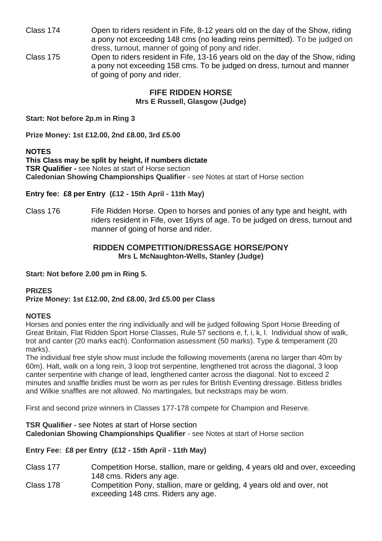- Class 174 Open to riders resident in Fife, 8-12 years old on the day of the Show, riding a pony not exceeding 148 cms (no leading reins permitted). To be judged on dress, turnout, manner of going of pony and rider.
- Class 175 Open to riders resident in Fife, 13-16 years old on the day of the Show, riding a pony not exceeding 158 cms. To be judged on dress, turnout and manner of going of pony and rider.

**FIFE RIDDEN HORSE Mrs E Russell, Glasgow (Judge)**

**Start: Not before 2p.m in Ring 3** 

**Prize Money: 1st £12.00, 2nd £8.00, 3rd £5.00** 

#### **NOTES**

**This Class may be split by height, if numbers dictate TSR Qualifier -** see Notes at start of Horse section **Caledonian Showing Championships Qualifier** - see Notes at start of Horse section

#### **Entry fee: £8 per Entry (£12 - 15th April - 11th May)**

Class 176 Fife Ridden Horse. Open to horses and ponies of any type and height, with riders resident in Fife, over 16yrs of age. To be judged on dress, turnout and manner of going of horse and rider.

#### **RIDDEN COMPETITION/DRESSAGE HORSE/PONY Mrs L McNaughton-Wells, Stanley (Judge)**

**Start: Not before 2.00 pm in Ring 5.**

#### **PRIZES**

#### **Prize Money: 1st £12.00, 2nd £8.00, 3rd £5.00 per Class**

#### **NOTES**

Horses and ponies enter the ring individually and will be judged following Sport Horse Breeding of Great Britain, Flat Ridden Sport Horse Classes, Rule 57 sections e, f, i, k, l. Individual show of walk, trot and canter (20 marks each). Conformation assessment (50 marks). Type & temperament (20 marks).

The individual free style show must include the following movements (arena no larger than 40m by 60m). Halt, walk on a long rein, 3 loop trot serpentine, lengthened trot across the diagonal, 3 loop canter serpentine with change of lead, lengthened canter across the diagonal. Not to exceed 2 minutes and snaffle bridles must be worn as per rules for British Eventing dressage. Bitless bridles and Wilkie snaffles are not allowed. No martingales, but neckstraps may be worn.

First and second prize winners in Classes 177-178 compete for Champion and Reserve.

**TSR Qualifier -** see Notes at start of Horse section **Caledonian Showing Championships Qualifier** - see Notes at start of Horse section

**Entry Fee: £8 per Entry (£12 - 15th April - 11th May)**

- Class 177 Competition Horse, stallion, mare or gelding, 4 years old and over, exceeding 148 cms. Riders any age.
- Class 178 Competition Pony, stallion, mare or gelding, 4 years old and over, not exceeding 148 cms. Riders any age.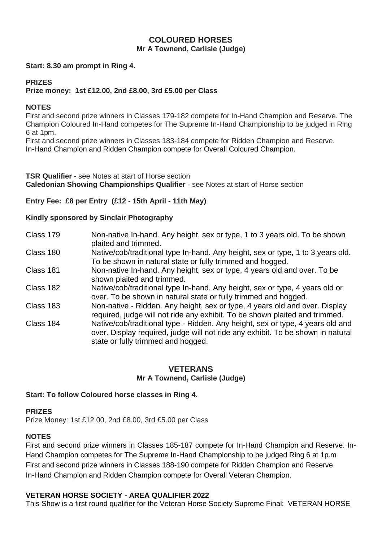#### **COLOURED HORSES Mr A Townend, Carlisle (Judge)**

#### **Start: 8.30 am prompt in Ring 4.**

#### **PRIZES**

#### **Prize money: 1st £12.00, 2nd £8.00, 3rd £5.00 per Class**

#### **NOTES**

First and second prize winners in Classes 179-182 compete for In-Hand Champion and Reserve. The Champion Coloured In-Hand competes for The Supreme In-Hand Championship to be judged in Ring 6 at 1pm.

First and second prize winners in Classes 183-184 compete for Ridden Champion and Reserve. In-Hand Champion and Ridden Champion compete for Overall Coloured Champion.

**TSR Qualifier -** see Notes at start of Horse section **Caledonian Showing Championships Qualifier** - see Notes at start of Horse section

#### **Entry Fee: £8 per Entry (£12 - 15th April - 11th May)**

#### **Kindly sponsored by Sinclair Photography**

- Class 179 Non-native In-hand. Any height, sex or type, 1 to 3 years old. To be shown plaited and trimmed.
- Class 180 Native/cob/traditional type In-hand. Any height, sex or type, 1 to 3 years old. To be shown in natural state or fully trimmed and hogged.
- Class 181 Non-native In-hand. Any height, sex or type, 4 years old and over. To be shown plaited and trimmed.
- Class 182 Native/cob/traditional type In-hand. Any height, sex or type, 4 years old or over. To be shown in natural state or fully trimmed and hogged.
- Class 183 Non-native Ridden. Any height, sex or type, 4 years old and over. Display required, judge will not ride any exhibit. To be shown plaited and trimmed.
- Class 184 Native/cob/traditional type Ridden. Any height, sex or type, 4 years old and over. Display required, judge will not ride any exhibit. To be shown in natural state or fully trimmed and hogged.

#### **VETERANS**

#### **Mr A Townend, Carlisle (Judge)**

#### **Start: To follow Coloured horse classes in Ring 4.**

#### **PRIZES**

Prize Money: 1st £12.00, 2nd £8.00, 3rd £5.00 per Class

#### **NOTES**

First and second prize winners in Classes 185-187 compete for In-Hand Champion and Reserve. In-Hand Champion competes for The Supreme In-Hand Championship to be judged Ring 6 at 1p.m First and second prize winners in Classes 188-190 compete for Ridden Champion and Reserve. In-Hand Champion and Ridden Champion compete for Overall Veteran Champion.

#### **VETERAN HORSE SOCIETY - AREA QUALIFIER 2022**

This Show is a first round qualifier for the Veteran Horse Society Supreme Final: VETERAN HORSE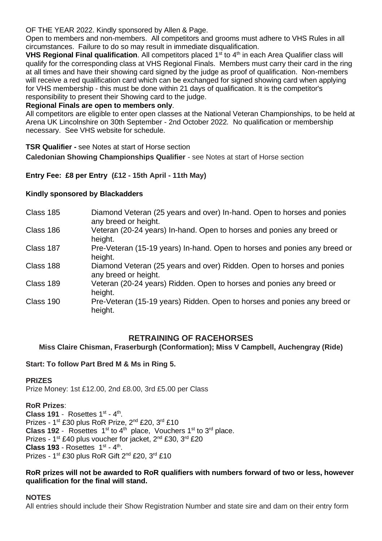OF THE YEAR 2022. Kindly sponsored by Allen & Page.

Open to members and non-members. All competitors and grooms must adhere to VHS Rules in all circumstances. Failure to do so may result in immediate disqualification.

**VHS Regional Final qualification**. All competitors placed 1<sup>st</sup> to 4<sup>th</sup> in each Area Qualifier class will qualify for the corresponding class at VHS Regional Finals. Members must carry their card in the ring at all times and have their showing card signed by the judge as proof of qualification. Non-members will receive a red qualification card which can be exchanged for signed showing card when applying for VHS membership - this must be done within 21 days of qualification. It is the competitor's responsibility to present their Showing card to the judge.

#### **Regional Finals are open to members only**.

All competitors are eligible to enter open classes at the National Veteran Championships, to be held at Arena UK Lincolnshire on 30th September - 2nd October 2022*.* No qualification or membership necessary. See VHS website for schedule.

**TSR Qualifier -** see Notes at start of Horse section

**Caledonian Showing Championships Qualifier** - see Notes at start of Horse section

#### **Entry Fee: £8 per Entry (£12 - 15th April - 11th May)**

#### **Kindly sponsored by Blackadders**

| Class 185 | Diamond Veteran (25 years and over) In-hand. Open to horses and ponies<br>any breed or height. |
|-----------|------------------------------------------------------------------------------------------------|
| Class 186 | Veteran (20-24 years) In-hand. Open to horses and ponies any breed or<br>height.               |
| Class 187 | Pre-Veteran (15-19 years) In-hand. Open to horses and ponies any breed or<br>height.           |
| Class 188 | Diamond Veteran (25 years and over) Ridden. Open to horses and ponies<br>any breed or height.  |
| Class 189 | Veteran (20-24 years) Ridden. Open to horses and ponies any breed or<br>height.                |
| Class 190 | Pre-Veteran (15-19 years) Ridden. Open to horses and ponies any breed or<br>height.            |

#### **RETRAINING OF RACEHORSES**

**Miss Claire Chisman, Fraserburgh (Conformation); Miss V Campbell, Auchengray (Ride)**

#### **Start: To follow Part Bred M & Ms in Ring 5.**

#### **PRIZES**

Prize Money: 1st £12.00, 2nd £8.00, 3rd £5.00 per Class

#### **RoR Prizes**:

Class 191 - Rosettes  $1<sup>st</sup> - 4<sup>th</sup>$ . Prizes - 1<sup>st</sup> £30 plus RoR Prize, 2<sup>nd</sup> £20, 3<sup>rd</sup> £10 **Class 192** - Rosettes  $1^{st}$  to  $4^{th}$  place, Vouchers  $1^{st}$  to  $3^{rd}$  place. Prizes - 1<sup>st</sup> £40 plus voucher for jacket, 2<sup>nd</sup> £30, 3<sup>rd</sup> £20 **Class 193 - Rosettes**  $1<sup>st</sup> - 4<sup>th</sup>$ **.** Prizes - 1<sup>st</sup> £30 plus RoR Gift 2<sup>nd</sup> £20, 3<sup>rd</sup> £10

#### **RoR prizes will not be awarded to RoR qualifiers with numbers forward of two or less, however qualification for the final will stand.**

#### **NOTES**

All entries should include their Show Registration Number and state sire and dam on their entry form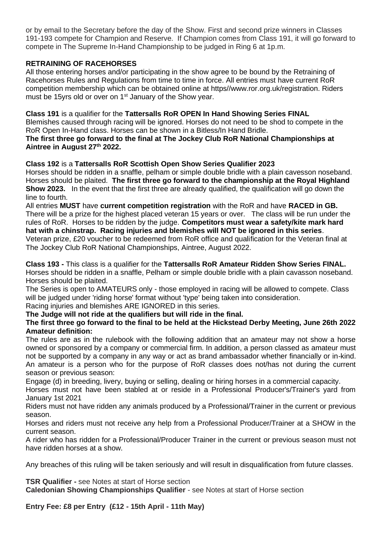or by email to the Secretary before the day of the Show. First and second prize winners in Classes 191-193 compete for Champion and Reserve. If Champion comes from Class 191, it will go forward to compete in The Supreme In-Hand Championship to be judged in Ring 6 at 1p.m.

#### **RETRAINING OF RACEHORSES**

All those entering horses and/or participating in the show agree to be bound by the Retraining of Racehorses Rules and Regulations from time to time in force. All entries must have current RoR competition membership which can be obtained online at https//www.ror.org.uk/registration. Riders must be 15 yrs old or over on 1<sup>st</sup> January of the Show year.

**Class 191** is a qualifier for the **Tattersalls RoR OPEN In Hand Showing Series FINAL** Blemishes caused through racing will be ignored. Horses do not need to be shod to compete in the RoR Open In-Hand class. Horses can be shown in a Bitless/In Hand Bridle.

**The first three go forward to the final at The Jockey Club RoR National Championships at Aintree in August 27th 2022.**

#### **Class 192** is a **Tattersalls RoR Scottish Open Show Series Qualifier 2023**

Horses should be ridden in a snaffle, pelham or simple double bridle with a plain cavesson noseband. Horses should be plaited. **The first three go forward to the championship at the Royal Highland Show 2023.** In the event that the first three are already qualified, the qualification will go down the line to fourth.

All entries **MUST** have **current competition registration** with the RoR and have **RACED in GB.**  There will be a prize for the highest placed veteran 15 years or over. The class will be run under the rules of RoR. Horses to be ridden by the judge. **Competitors must wear a safety/kite mark hard hat with a chinstrap. Racing injuries and blemishes will NOT be ignored in this series**.

Veteran prize, £20 voucher to be redeemed from RoR office and qualification for the Veteran final at The Jockey Club RoR National Championships, Aintree, August 2022.

**Class 193 -** This class is a qualifier for the **Tattersalls RoR Amateur Ridden Show Series FINAL.** Horses should be ridden in a snaffle, Pelham or simple double bridle with a plain cavasson noseband. Horses should be plaited.

The Series is open to AMATEURS only - those employed in racing will be allowed to compete. Class will be judged under 'riding horse' format without 'type' being taken into consideration.

Racing injuries and blemishes ARE IGNORED in this series.

**The Judge will not ride at the qualifiers but will ride in the final.** 

#### **The first three go forward to the final to be held at the Hickstead Derby Meeting, June 26th 2022 Amateur definition:**

The rules are as in the rulebook with the following addition that an amateur may not show a horse owned or sponsored by a company or commercial firm. In addition, a person classed as amateur must not be supported by a company in any way or act as brand ambassador whether financially or in-kind. An amateur is a person who for the purpose of RoR classes does not/has not during the current season or previous season:

Engage (d) in breeding, livery, buying or selling, dealing or hiring horses in a commercial capacity.

Horses must not have been stabled at or reside in a Professional Producer's/Trainer's yard from January 1st 2021

Riders must not have ridden any animals produced by a Professional/Trainer in the current or previous season.

Horses and riders must not receive any help from a Professional Producer/Trainer at a SHOW in the current season.

A rider who has ridden for a Professional/Producer Trainer in the current or previous season must not have ridden horses at a show.

Any breaches of this ruling will be taken seriously and will result in disqualification from future classes.

**TSR Qualifier -** see Notes at start of Horse section

**Caledonian Showing Championships Qualifier** - see Notes at start of Horse section

**Entry Fee: £8 per Entry (£12 - 15th April - 11th May)**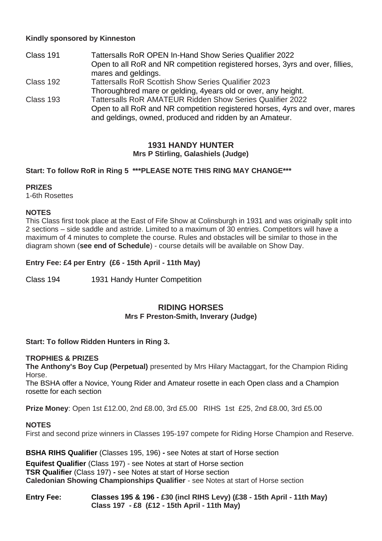#### **Kindly sponsored by Kinneston**

| Class 191 | Tattersalls RoR OPEN In-Hand Show Series Qualifier 2022                                                                               |
|-----------|---------------------------------------------------------------------------------------------------------------------------------------|
|           | Open to all RoR and NR competition registered horses, 3yrs and over, fillies,                                                         |
|           | mares and geldings.                                                                                                                   |
| Class 192 | <b>Tattersalls RoR Scottish Show Series Qualifier 2023</b>                                                                            |
|           | Thoroughbred mare or gelding, 4 years old or over, any height.                                                                        |
| Class 193 | Tattersalls RoR AMATEUR Ridden Show Series Qualifier 2022                                                                             |
|           | Open to all RoR and NR competition registered horses, 4yrs and over, mares<br>and geldings, owned, produced and ridden by an Amateur. |

#### **1931 HANDY HUNTER Mrs P Stirling, Galashiels (Judge)**

#### **Start: To follow RoR in Ring 5 \*\*\*PLEASE NOTE THIS RING MAY CHANGE\*\*\***

#### **PRIZES**

1-6th Rosettes

#### **NOTES**

This Class first took place at the East of Fife Show at Colinsburgh in 1931 and was originally split into 2 sections – side saddle and astride. Limited to a maximum of 30 entries. Competitors will have a maximum of 4 minutes to complete the course. Rules and obstacles will be similar to those in the diagram shown (**see end of Schedule**) - course details will be available on Show Day.

**Entry Fee: £4 per Entry (£6 - 15th April - 11th May)**

Class 194 1931 Handy Hunter Competition

#### **RIDING HORSES Mrs F Preston-Smith, Inverary (Judge)**

#### **Start: To follow Ridden Hunters in Ring 3.**

#### **TROPHIES & PRIZES**

**The Anthony's Boy Cup (Perpetual)** presented by Mrs Hilary Mactaggart, for the Champion Riding Horse.

The BSHA offer a Novice, Young Rider and Amateur rosette in each Open class and a Champion rosette for each section

**Prize Money**: Open 1st £12.00, 2nd £8.00, 3rd £5.00 RIHS 1st £25, 2nd £8.00, 3rd £5.00

#### **NOTES**

First and second prize winners in Classes 195-197 compete for Riding Horse Champion and Reserve.

**BSHA RIHS Qualifier** (Classes 195, 196) **-** see Notes at start of Horse section

**Equifest Qualifier** (Class 197) - see Notes at start of Horse section **TSR Qualifier** (Class 197) **-** see Notes at start of Horse section **Caledonian Showing Championships Qualifier** - see Notes at start of Horse section

#### **Entry Fee: Classes 195 & 196 - £30 (incl RIHS Levy) (£38 - 15th April - 11th May) Class 197 - £8 (£12 - 15th April - 11th May)**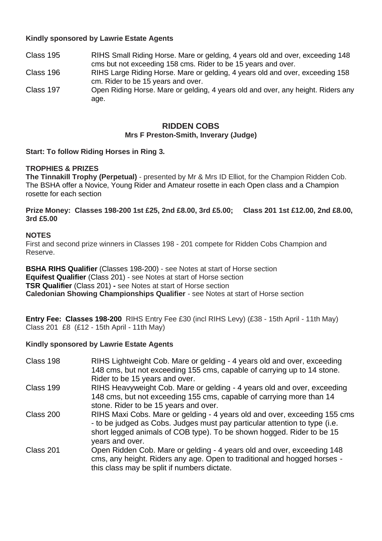#### **Kindly sponsored by Lawrie Estate Agents**

- Class 195 RIHS Small Riding Horse. Mare or gelding, 4 years old and over, exceeding 148 cms but not exceeding 158 cms. Rider to be 15 years and over.
- Class 196 RIHS Large Riding Horse. Mare or gelding, 4 years old and over, exceeding 158 cm. Rider to be 15 years and over.
- Class 197 Open Riding Horse. Mare or gelding, 4 years old and over, any height. Riders any age.

#### **RIDDEN COBS Mrs F Preston-Smith, Inverary (Judge)**

#### **Start: To follow Riding Horses in Ring 3.**

#### **TROPHIES & PRIZES**

**The Tinnakill Trophy (Perpetual)** - presented by Mr & Mrs ID Elliot, for the Champion Ridden Cob. The BSHA offer a Novice, Young Rider and Amateur rosette in each Open class and a Champion rosette for each section

**Prize Money: Classes 198-200 1st £25, 2nd £8.00, 3rd £5.00; Class 201 1st £12.00, 2nd £8.00, 3rd £5.00**

#### **NOTES**

First and second prize winners in Classes 198 - 201 compete for Ridden Cobs Champion and Reserve.

**BSHA RIHS Qualifier** (Classes 198-200) - see Notes at start of Horse section **Equifest Qualifier** (Class 201) - see Notes at start of Horse section **TSR Qualifier** (Class 201) **-** see Notes at start of Horse section **Caledonian Showing Championships Qualifier** - see Notes at start of Horse section

**Entry Fee: Classes 198-200** RIHS Entry Fee £30 (incl RIHS Levy) (£38 - 15th April - 11th May) Class 201 £8 (£12 - 15th April - 11th May)

#### **Kindly sponsored by Lawrie Estate Agents**

| Class 198 | RIHS Lightweight Cob. Mare or gelding - 4 years old and over, exceeding<br>148 cms, but not exceeding 155 cms, capable of carrying up to 14 stone. |
|-----------|----------------------------------------------------------------------------------------------------------------------------------------------------|
|           | Rider to be 15 years and over.                                                                                                                     |
| Class 199 | RIHS Heavyweight Cob. Mare or gelding - 4 years old and over, exceeding                                                                            |
|           | 148 cms, but not exceeding 155 cms, capable of carrying more than 14                                                                               |
|           | stone. Rider to be 15 years and over.                                                                                                              |
| Class 200 | RIHS Maxi Cobs. Mare or gelding - 4 years old and over, exceeding 155 cms                                                                          |
|           | - to be judged as Cobs. Judges must pay particular attention to type (i.e.                                                                         |
|           | short legged animals of COB type). To be shown hogged. Rider to be 15                                                                              |
|           | years and over.                                                                                                                                    |
| Class 201 | Open Ridden Cob. Mare or gelding - 4 years old and over, exceeding 148                                                                             |
|           | cms, any height. Riders any age. Open to traditional and hogged horses -                                                                           |
|           | this class may be split if numbers dictate.                                                                                                        |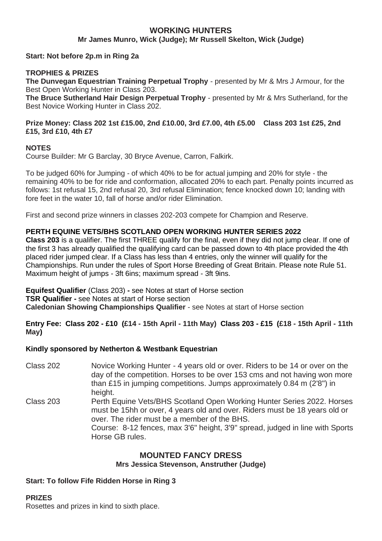### **WORKING HUNTERS**

**Mr James Munro, Wick (Judge); Mr Russell Skelton, Wick (Judge)**

**Start: Not before 2p.m in Ring 2a**

#### **TROPHIES & PRIZES**

**The Dunvegan Equestrian Training Perpetual Trophy** - presented by Mr & Mrs J Armour, for the Best Open Working Hunter in Class 203.

**The Bruce Sutherland Hair Design Perpetual Trophy** - presented by Mr & Mrs Sutherland, for the Best Novice Working Hunter in Class 202.

#### **Prize Money: Class 202 1st £15.00, 2nd £10.00, 3rd £7.00, 4th £5.00 Class 203 1st £25, 2nd £15, 3rd £10, 4th £7**

#### **NOTES**

Course Builder: Mr G Barclay, 30 Bryce Avenue, Carron, Falkirk.

To be judged 60% for Jumping - of which 40% to be for actual jumping and 20% for style - the remaining 40% to be for ride and conformation, allocated 20% to each part. Penalty points incurred as follows: 1st refusal 15, 2nd refusal 20, 3rd refusal Elimination; fence knocked down 10; landing with fore feet in the water 10, fall of horse and/or rider Elimination.

First and second prize winners in classes 202-203 compete for Champion and Reserve.

#### **PERTH EQUINE VETS/BHS SCOTLAND OPEN WORKING HUNTER SERIES 2022**

**Class 203** is a qualifier. The first THREE qualify for the final, even if they did not jump clear. If one of the first 3 has already qualified the qualifying card can be passed down to 4th place provided the 4th placed rider jumped clear. If a Class has less than 4 entries, only the winner will qualify for the Championships. Run under the rules of Sport Horse Breeding of Great Britain. Please note Rule 51. Maximum height of jumps - 3ft 6ins; maximum spread - 3ft 9ins.

**Equifest Qualifier** (Class 203) **-** see Notes at start of Horse section **TSR Qualifier -** see Notes at start of Horse section **Caledonian Showing Championships Qualifier** - see Notes at start of Horse section

#### **Entry Fee: Class 202 - £10 (£14 - 15th April - 11th May) Class 203 - £15 (£18 - 15th April - 11th May)**

#### **Kindly sponsored by Netherton & Westbank Equestrian**

Class 202 Novice Working Hunter - 4 years old or over. Riders to be 14 or over on the day of the competition. Horses to be over 153 cms and not having won more than £15 in jumping competitions. Jumps approximately 0.84 m (2'8") in height. Class 203 Perth Equine Vets/BHS Scotland Open Working Hunter Series 2022. Horses must be 15hh or over, 4 years old and over. Riders must be 18 years old or over. The rider must be a member of the BHS. Course: 8-12 fences, max 3'6" height, 3'9" spread, judged in line with Sports Horse GB rules.

## **MOUNTED FANCY DRESS**

## **Mrs Jessica Stevenson, Anstruther (Judge)**

#### **Start: To follow Fife Ridden Horse in Ring 3**

#### **PRIZES**

Rosettes and prizes in kind to sixth place.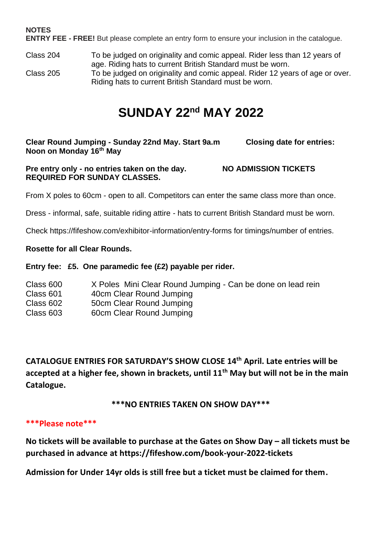## **NOTES**

**ENTRY FEE - FREE!** But please complete an entry form to ensure your inclusion in the catalogue.

- Class 204 To be judged on originality and comic appeal. Rider less than 12 years of age. Riding hats to current British Standard must be worn.
- Class 205 To be judged on originality and comic appeal. Rider 12 years of age or over. Riding hats to current British Standard must be worn.

## **SUNDAY 22nd MAY 2022**

**Clear Round Jumping - Sunday 22nd May. Start 9a.m Closing date for entries: Noon on Monday 16th May**

**Pre entry only - no entries taken on the day. NO ADMISSION TICKETS REQUIRED FOR SUNDAY CLASSES.**

From X poles to 60cm - open to all. Competitors can enter the same class more than once.

Dress - informal, safe, suitable riding attire - hats to current British Standard must be worn.

Check https://fifeshow.com/exhibitor-information/entry-forms for timings/number of entries.

#### **Rosette for all Clear Rounds.**

#### **Entry fee: £5. One paramedic fee (£2) payable per rider.**

- Class 600 X Poles Mini Clear Round Jumping Can be done on lead rein
- Class 601 40cm Clear Round Jumping
- Class 602 50cm Clear Round Jumping<br>Class 603 60cm Clear Round Jumping
- 60cm Clear Round Jumping

**CATALOGUE ENTRIES FOR SATURDAY'S SHOW CLOSE 14th April. Late entries will be accepted at a higher fee, shown in brackets, until 11th May but will not be in the main Catalogue.**

**\*\*\*NO ENTRIES TAKEN ON SHOW DAY\*\*\***

#### **\*\*\*Please note\*\*\***

**No tickets will be available to purchase at the Gates on Show Day – all tickets must be purchased in advance at https://fifeshow.com/book-your-2022-tickets**

**Admission for Under 14yr olds is still free but a ticket must be claimed for them.**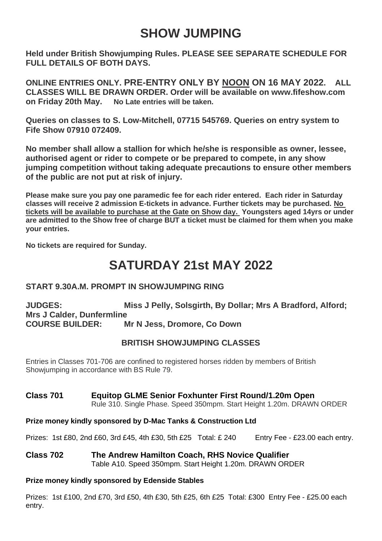## **SHOW JUMPING**

**Held under British Showjumping Rules. PLEASE SEE SEPARATE SCHEDULE FOR FULL DETAILS OF BOTH DAYS.** 

**ONLINE ENTRIES ONLY. PRE-ENTRY ONLY BY NOON ON 16 MAY 2022. ALL CLASSES WILL BE DRAWN ORDER. Order will be available on www.fifeshow.com on Friday 20th May. No Late entries will be taken.** 

**Queries on classes to S. Low-Mitchell, 07715 545769. Queries on entry system to Fife Show 07910 072409.** 

**No member shall allow a stallion for which he/she is responsible as owner, lessee, authorised agent or rider to compete or be prepared to compete, in any show jumping competition without taking adequate precautions to ensure other members of the public are not put at risk of injury.**

**Please make sure you pay one paramedic fee for each rider entered. Each rider in Saturday classes will receive 2 admission E-tickets in advance. Further tickets may be purchased. No tickets will be available to purchase at the Gate on Show day. Youngsters aged 14yrs or under are admitted to the Show free of charge BUT a ticket must be claimed for them when you make your entries.** 

**No tickets are required for Sunday.** 

## **SATURDAY 21st MAY 2022**

## **START 9.30A.M. PROMPT IN SHOWJUMPING RING**

**JUDGES: Miss J Pelly, Solsgirth, By Dollar; Mrs A Bradford, Alford; Mrs J Calder, Dunfermline COURSE BUILDER: Mr N Jess, Dromore, Co Down**

## **BRITISH SHOWJUMPING CLASSES**

Entries in Classes 701-706 are confined to registered horses ridden by members of British Showjumping in accordance with BS Rule 79.

## **Class 701 Equitop GLME Senior Foxhunter First Round/1.20m Open**

Rule 310. Single Phase. Speed 350mpm. Start Height 1.20m. DRAWN ORDER

#### **Prize money kindly sponsored by D-Mac Tanks & Construction Ltd**

Prizes: 1st £80, 2nd £60, 3rd £45, 4th £30, 5th £25 Total: £ 240 Entry Fee - £23.00 each entry.

#### **Class 702 The Andrew Hamilton Coach, RHS Novice Qualifier** Table A10. Speed 350mpm. Start Height 1.20m. DRAWN ORDER

#### **Prize money kindly sponsored by Edenside Stables**

Prizes: 1st £100, 2nd £70, 3rd £50, 4th £30, 5th £25, 6th £25 Total: £300 Entry Fee - £25.00 each entry.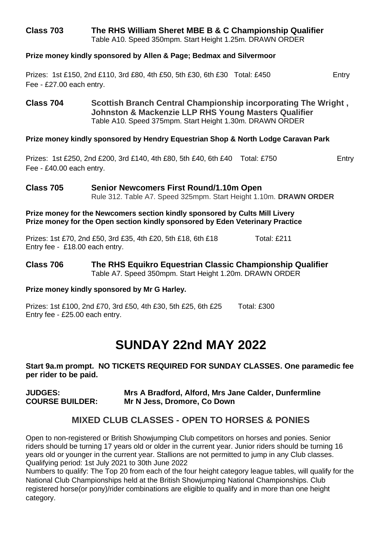## **Class 703 The RHS William Sheret MBE B & C Championship Qualifier**

Table A10. Speed 350mpm. Start Height 1.25m. DRAWN ORDER

#### **Prize money kindly sponsored by Allen & Page; Bedmax and Silvermoor**

Prizes: 1st £150, 2nd £110, 3rd £80, 4th £50, 5th £30, 6th £30 Total: £450 Entry Fee - £27.00 each entry.

**Class 704 Scottish Branch Central Championship incorporating The Wright , Johnston & Mackenzie LLP RHS Young Masters Qualifier** Table A10. Speed 375mpm. Start Height 1.30m. DRAWN ORDER

#### **Prize money kindly sponsored by Hendry Equestrian Shop & North Lodge Caravan Park**

Prizes: 1st £250, 2nd £200, 3rd £140, 4th £80, 5th £40, 6th £40 Total: £750 Entry Fee - £40.00 each entry.

## **Class 705 Senior Newcomers First Round/1.10m Open** Rule 312. Table A7. Speed 325mpm. Start Height 1.10m. **DRAWN ORDER**

#### **Prize money for the Newcomers section kindly sponsored by Cults Mill Livery Prize money for the Open section kindly sponsored by Eden Veterinary Practice**

Prizes: 1st £70, 2nd £50, 3rd £35, 4th £20, 5th £18, 6th £18 Total: £211 Entry fee - £18.00 each entry.

#### **Class 706 The RHS Equikro Equestrian Classic Championship Qualifier** Table A7. Speed 350mpm. Start Height 1.20m. DRAWN ORDER

#### **Prize money kindly sponsored by Mr G Harley.**

Prizes: 1st £100, 2nd £70, 3rd £50, 4th £30, 5th £25, 6th £25 Total: £300 Entry fee - £25.00 each entry.

## **SUNDAY 22nd MAY 2022**

**Start 9a.m prompt. NO TICKETS REQUIRED FOR SUNDAY CLASSES. One paramedic fee per rider to be paid.** 

**JUDGES: Mrs A Bradford, Alford, Mrs Jane Calder, Dunfermline COURSE BUILDER: Mr N Jess, Dromore, Co Down**

## **MIXED CLUB CLASSES - OPEN TO HORSES & PONIES**

Open to non-registered or British Showjumping Club competitors on horses and ponies. Senior riders should be turning 17 years old or older in the current year. Junior riders should be turning 16 years old or younger in the current year. Stallions are not permitted to jump in any Club classes. Qualifying period: 1st July 2021 to 30th June 2022

Numbers to qualify: The Top 20 from each of the four height category league tables, will qualify for the National Club Championships held at the British Showjumping National Championships. Club registered horse(or pony)/rider combinations are eligible to qualify and in more than one height category.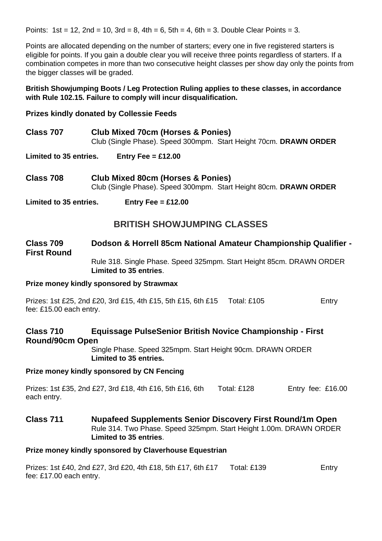Points:  $1st = 12$ ,  $2nd = 10$ ,  $3rd = 8$ ,  $4th = 6$ ,  $5th = 4$ ,  $6th = 3$ . Double Clear Points = 3.

Points are allocated depending on the number of starters; every one in five registered starters is eligible for points. If you gain a double clear you will receive three points regardless of starters. If a combination competes in more than two consecutive height classes per show day only the points from the bigger classes will be graded.

#### **British Showjumping Boots / Leg Protection Ruling applies to these classes, in accordance with Rule 102.15. Failure to comply will incur disqualification.**

#### **Prizes kindly donated by Collessie Feeds**

- **Class 707 Club Mixed 70cm (Horses & Ponies)** Club (Single Phase). Speed 300mpm. Start Height 70cm. **DRAWN ORDER**
- **Limited to 35 entries. Entry Fee = £12.00**
- **Class 708 Club Mixed 80cm (Horses & Ponies)** Club (Single Phase). Speed 300mpm. Start Height 80cm. **DRAWN ORDER**

**Limited to 35 entries. Entry Fee = £12.00**

## **BRITISH SHOWJUMPING CLASSES**

#### **Class 709 Dodson & Horrell 85cm National Amateur Championship Qualifier - First Round** Rule 318. Single Phase. Speed 325mpm. Start Height 85cm. DRAWN ORDER **Limited to 35 entries**.

#### **Prize money kindly sponsored by Strawmax**

Prizes: 1st £25, 2nd £20, 3rd £15, 4th £15, 5th £15, 6th £15 Total: £105 Entry fee: £15.00 each entry.

## **Class 710 Equissage PulseSenior British Novice Championship - First Round/90cm Open**

Single Phase. Speed 325mpm. Start Height 90cm. DRAWN ORDER **Limited to 35 entries.** 

#### **Prize money kindly sponsored by CN Fencing**

Prizes: 1st £35, 2nd £27, 3rd £18, 4th £16, 5th £16, 6th Total: £128 Entry fee: £16.00 each entry.

#### **Class 711 Nupafeed Supplements Senior Discovery First Round/1m Open** Rule 314. Two Phase. Speed 325mpm. Start Height 1.00m. DRAWN ORDER **Limited to 35 entries**.

#### **Prize money kindly sponsored by Claverhouse Equestrian**

| Prizes: 1st £40, 2nd £27, 3rd £20, 4th £18, 5th £17, 6th £17 | Total: £139 | Entry |
|--------------------------------------------------------------|-------------|-------|
| fee: £17.00 each entry.                                      |             |       |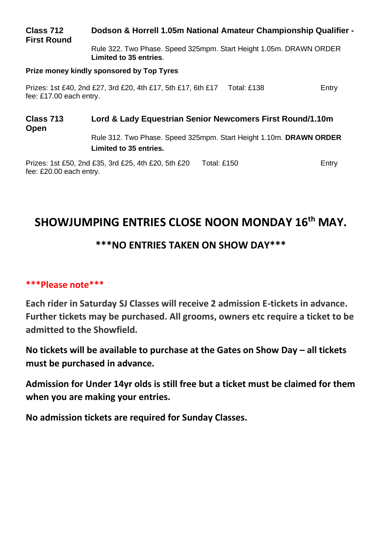## **Class 712 Dodson & Horrell 1.05m National Amateur Championship Qualifier - First Round**

Rule 322. Two Phase. Speed 325mpm. Start Height 1.05m. DRAWN ORDER **Limited to 35 entries**.

#### **Prize money kindly sponsored by Top Tyres**

Prizes: 1st £40, 2nd £27, 3rd £20, 4th £17, 5th £17, 6th £17 Total: £138 Entry fee: £17.00 each entry.

## **Class 713 Lord & Lady Equestrian Senior Newcomers First Round/1.10m Open**

Rule 312. Two Phase. Speed 325mpm. Start Height 1.10m. **DRAWN ORDER Limited to 35 entries.** 

Prizes: 1st £50, 2nd £35, 3rd £25, 4th £20, 5th £20 Total: £150 Frances: 1st £60, 2nd £35, 3rd £25, 4th £20, 5th £20 fee: £20.00 each entry.

## **SHOWJUMPING ENTRIES CLOSE NOON MONDAY 16th MAY.**

## **\*\*\*NO ENTRIES TAKEN ON SHOW DAY\*\*\***

## **\*\*\*Please note\*\*\***

**Each rider in Saturday SJ Classes will receive 2 admission E-tickets in advance. Further tickets may be purchased. All grooms, owners etc require a ticket to be admitted to the Showfield.** 

**No tickets will be available to purchase at the Gates on Show Day – all tickets must be purchased in advance.** 

**Admission for Under 14yr olds is still free but a ticket must be claimed for them when you are making your entries.** 

**No admission tickets are required for Sunday Classes.**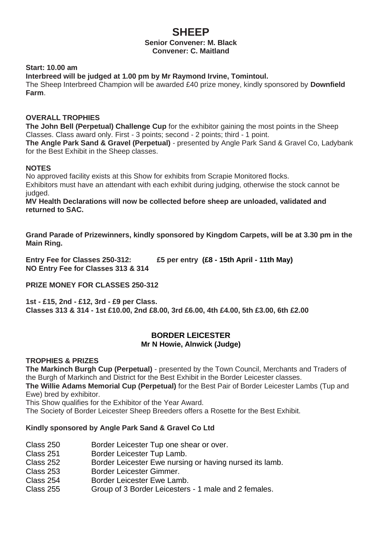## **SHEEP Senior Convener: M. Black Convener: C. Maitland**

#### **Start: 10.00 am**

**Interbreed will be judged at 1.00 pm by Mr Raymond Irvine, Tomintoul.**

The Sheep Interbreed Champion will be awarded £40 prize money, kindly sponsored by **Downfield Farm**.

#### **OVERALL TROPHIES**

**The John Bell (Perpetual) Challenge Cup** for the exhibitor gaining the most points in the Sheep Classes. Class award only. First - 3 points; second - 2 points; third - 1 point.

**The Angle Park Sand & Gravel (Perpetual)** - presented by Angle Park Sand & Gravel Co, Ladybank for the Best Exhibit in the Sheep classes.

#### **NOTES**

No approved facility exists at this Show for exhibits from Scrapie Monitored flocks. Exhibitors must have an attendant with each exhibit during judging, otherwise the stock cannot be judged.

**MV Health Declarations will now be collected before sheep are unloaded, validated and returned to SAC.** 

**Grand Parade of Prizewinners, kindly sponsored by Kingdom Carpets, will be at 3.30 pm in the Main Ring.**

**Entry Fee for Classes 250-312: £5 per entry (£8 - 15th April - 11th May) NO Entry Fee for Classes 313 & 314**

**PRIZE MONEY FOR CLASSES 250-312** 

**1st - £15, 2nd - £12, 3rd - £9 per Class. Classes 313 & 314 - 1st £10.00, 2nd £8.00, 3rd £6.00, 4th £4.00, 5th £3.00, 6th £2.00** 

#### **BORDER LEICESTER Mr N Howie, Alnwick (Judge)**

#### **TROPHIES & PRIZES**

**The Markinch Burgh Cup (Perpetual)** - presented by the Town Council, Merchants and Traders of the Burgh of Markinch and District for the Best Exhibit in the Border Leicester classes. **The Willie Adams Memorial Cup (Perpetual)** for the Best Pair of Border Leicester Lambs (Tup and Ewe) bred by exhibitor.

This Show qualifies for the Exhibitor of the Year Award.

The Society of Border Leicester Sheep Breeders offers a Rosette for the Best Exhibit.

#### **Kindly sponsored by Angle Park Sand & Gravel Co Ltd**

- Class 250 Border Leicester Tup one shear or over.
- Class 251 Border Leicester Tup Lamb.
- Class 252 Border Leicester Ewe nursing or having nursed its lamb.
- Class 253 Border Leicester Gimmer.
- Class 254 Border Leicester Ewe Lamb.
- Class 255 Group of 3 Border Leicesters 1 male and 2 females.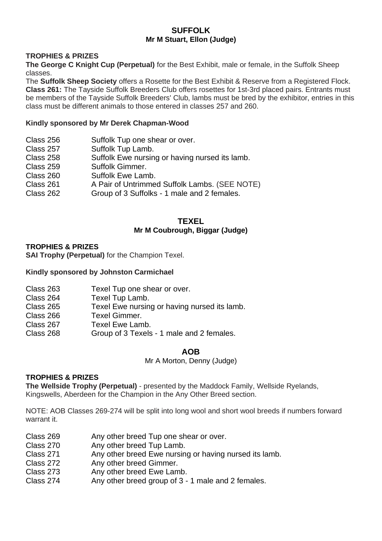#### **SUFFOLK Mr M Stuart, Ellon (Judge)**

#### **TROPHIES & PRIZES**

**The George C Knight Cup (Perpetual)** for the Best Exhibit, male or female, in the Suffolk Sheep classes.

The **Suffolk Sheep Society** offers a Rosette for the Best Exhibit & Reserve from a Registered Flock. **Class 261:** The Tayside Suffolk Breeders Club offers rosettes for 1st-3rd placed pairs. Entrants must be members of the Tayside Suffolk Breeders' Club, lambs must be bred by the exhibitor, entries in this class must be different animals to those entered in classes 257 and 260.

#### **Kindly sponsored by Mr Derek Chapman-Wood**

| Class 256 | Suffolk Tup one shear or over.                 |
|-----------|------------------------------------------------|
| Class 257 | Suffolk Tup Lamb.                              |
| Class 258 | Suffolk Ewe nursing or having nursed its lamb. |
| Class 259 | Suffolk Gimmer.                                |
| Class 260 | Suffolk Ewe Lamb.                              |
| Class 261 | A Pair of Untrimmed Suffolk Lambs. (SEE NOTE)  |
| Class 262 | Group of 3 Suffolks - 1 male and 2 females.    |
|           |                                                |

#### **TEXEL Mr M Coubrough, Biggar (Judge)**

#### **TROPHIES & PRIZES**

**SAI Trophy (Perpetual)** for the Champion Texel.

#### **Kindly sponsored by Johnston Carmichael**

| Texel Tup one shear or over.                 |
|----------------------------------------------|
| Texel Tup Lamb.                              |
| Texel Ewe nursing or having nursed its lamb. |
| Texel Gimmer.                                |
| Texel Ewe Lamb.                              |
| Group of 3 Texels - 1 male and 2 females.    |
|                                              |

#### **AOB**

Mr A Morton, Denny (Judge)

#### **TROPHIES & PRIZES**

**The Wellside Trophy (Perpetual)** - presented by the Maddock Family, Wellside Ryelands, Kingswells, Aberdeen for the Champion in the Any Other Breed section.

NOTE: AOB Classes 269-274 will be split into long wool and short wool breeds if numbers forward warrant it.

- Class 269 Any other breed Tup one shear or over.<br>Class 270 Any other breed Tup Lamb.
- Any other breed Tup Lamb.
- Class 271 Any other breed Ewe nursing or having nursed its lamb.
- Class 272 Any other breed Gimmer.<br>Class 273 Any other breed Ewe Lam
- Any other breed Ewe Lamb.
- Class 274 Any other breed group of 3 1 male and 2 females.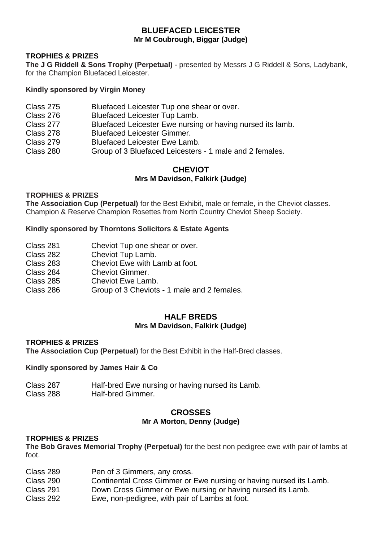## **BLUEFACED LEICESTER Mr M Coubrough, Biggar (Judge)**

#### **TROPHIES & PRIZES**

**The J G Riddell & Sons Trophy (Perpetual)** - presented by Messrs J G Riddell & Sons, Ladybank, for the Champion Bluefaced Leicester.

#### **Kindly sponsored by Virgin Money**

- Class 275 Bluefaced Leicester Tup one shear or over.<br>Class 276 Bluefaced Leicester Tup Lamb
- Class 276 Bluefaced Leicester Tup Lamb.<br>Class 277 Bluefaced Leicester Ewe nursin
- Class 277 Bluefaced Leicester Ewe nursing or having nursed its lamb.<br>Class 278 Bluefaced Leicester Gimmer.
- Class 278 Bluefaced Leicester Gimmer.<br>Class 279 Bluefaced Leicester Ewe Lam
- Class 279 Bluefaced Leicester Ewe Lamb.<br>Class 280 Group of 3 Bluefaced Leicesters
- Group of 3 Bluefaced Leicesters 1 male and 2 females.

### **CHEVIOT Mrs M Davidson, Falkirk (Judge)**

#### **TROPHIES & PRIZES**

**The Association Cup (Perpetual)** for the Best Exhibit, male or female, in the Cheviot classes. Champion & Reserve Champion Rosettes from North Country Cheviot Sheep Society.

#### **Kindly sponsored by Thorntons Solicitors & Estate Agents**

- Class 281 Cheviot Tup one shear or over.<br>Class 282 Cheviot Tup Lamb
- Class 282 Cheviot Tup Lamb.<br>Class 283 Cheviot Ewe with La
- Cheviot Ewe with Lamb at foot.
- Class 284 Cheviot Gimmer.<br>Class 285 Cheviot Ewe Lam
- Class 285 Cheviot Ewe Lamb.<br>Class 286 Group of 3 Cheviots
- Group of 3 Cheviots 1 male and 2 females.

#### **HALF BREDS Mrs M Davidson, Falkirk (Judge)**

#### **TROPHIES & PRIZES**

**The Association Cup (Perpetual**) for the Best Exhibit in the Half-Bred classes.

#### **Kindly sponsored by James Hair & Co**

| Class 287 | Half-bred Ewe nursing or having nursed its Lamb. |
|-----------|--------------------------------------------------|
| Class 288 | Half-bred Gimmer.                                |

#### **CROSSES Mr A Morton, Denny (Judge)**

#### **TROPHIES & PRIZES**

**The Bob Graves Memorial Trophy (Perpetual)** for the best non pedigree ewe with pair of lambs at foot.

- Class 289 Pen of 3 Gimmers, any cross. Class 290 Continental Cross Gimmer or Ewe nursing or having nursed its Lamb. Class 291 Down Cross Gimmer or Ewe nursing or having nursed its Lamb.
- Class 292 Ewe, non-pedigree, with pair of Lambs at foot.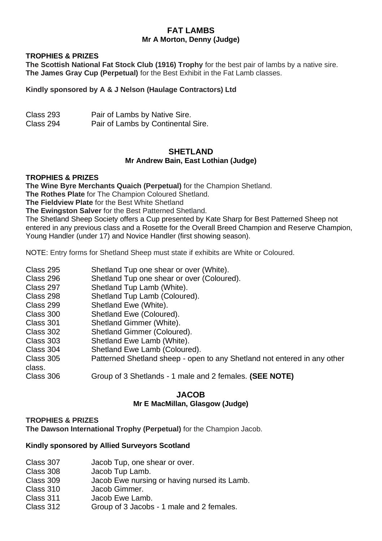### **FAT LAMBS Mr A Morton, Denny (Judge)**

#### **TROPHIES & PRIZES**

**The Scottish National Fat Stock Club (1916) Trophy** for the best pair of lambs by a native sire. **The James Gray Cup (Perpetual)** for the Best Exhibit in the Fat Lamb classes.

#### **Kindly sponsored by A & J Nelson (Haulage Contractors) Ltd**

| Class 293 | Pair of Lambs by Native Sire.      |
|-----------|------------------------------------|
| Class 294 | Pair of Lambs by Continental Sire. |

#### **SHETI AND Mr Andrew Bain, East Lothian (Judge)**

#### **TROPHIES & PRIZES**

**The Wine Byre Merchants Quaich (Perpetual)** for the Champion Shetland.

**The Rothes Plate** for The Champion Coloured Shetland.

**The Fieldview Plate** for the Best White Shetland

**The Ewingston Salver** for the Best Patterned Shetland.

The Shetland Sheep Society offers a Cup presented by Kate Sharp for Best Patterned Sheep not entered in any previous class and a Rosette for the Overall Breed Champion and Reserve Champion, Young Handler (under 17) and Novice Handler (first showing season).

NOTE: Entry forms for Shetland Sheep must state if exhibits are White or Coloured.

| Shetland Tup one shear or over (White).                                  |
|--------------------------------------------------------------------------|
| Shetland Tup one shear or over (Coloured).                               |
| Shetland Tup Lamb (White).                                               |
| Shetland Tup Lamb (Coloured).                                            |
| Shetland Ewe (White).                                                    |
| Shetland Ewe (Coloured).                                                 |
| Shetland Gimmer (White).                                                 |
| Shetland Gimmer (Coloured).                                              |
| Shetland Ewe Lamb (White).                                               |
| Shetland Ewe Lamb (Coloured).                                            |
| Patterned Shetland sheep - open to any Shetland not entered in any other |
|                                                                          |
| Group of 3 Shetlands - 1 male and 2 females. (SEE NOTE)                  |
|                                                                          |

#### **JACOB Mr E MacMillan, Glasgow (Judge)**

#### **TROPHIES & PRIZES**

**The Dawson International Trophy (Perpetual)** for the Champion Jacob.

#### **Kindly sponsored by Allied Surveyors Scotland**

| Class 307 |  | Jacob Tup, one shear or over. |  |  |
|-----------|--|-------------------------------|--|--|
|-----------|--|-------------------------------|--|--|

- Class 308 Jacob Tup Lamb.
- Class 309 Jacob Ewe nursing or having nursed its Lamb.
- Class 310 Jacob Gimmer.<br>Class 311 Jacob Ewe Lam
- Jacob Ewe Lamb.
- Class 312 Group of 3 Jacobs 1 male and 2 females.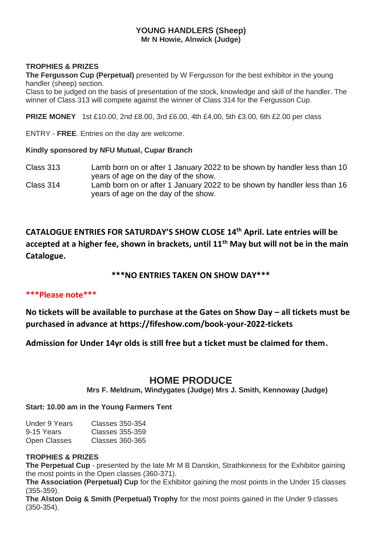### **YOUNG HANDLERS (Sheep) Mr N Howie, Alnwick (Judge)**

#### **TROPHIES & PRIZES**

**The Fergusson Cup (Perpetual)** presented by W Fergusson for the best exhibitor in the young handler (sheep) section.

Class to be judged on the basis of presentation of the stock, knowledge and skill of the handler. The winner of Class 313 will compete against the winner of Class 314 for the Fergusson Cup.

**PRIZE MONEY** 1st £10.00, 2nd £8.00, 3rd £6.00, 4th £4.00, 5th £3.00, 6th £2.00 per class

ENTRY - **FREE**. Entries on the day are welcome.

#### **Kindly sponsored by NFU Mutual, Cupar Branch**

- Class 313 Lamb born on or after 1 January 2022 to be shown by handler less than 10 years of age on the day of the show.
- Class 314 Lamb born on or after 1 January 2022 to be shown by handler less than 16 years of age on the day of the show.

**CATALOGUE ENTRIES FOR SATURDAY'S SHOW CLOSE 14th April. Late entries will be accepted at a higher fee, shown in brackets, until 11th May but will not be in the main Catalogue.**

## **\*\*\*NO ENTRIES TAKEN ON SHOW DAY\*\*\***

#### **\*\*\*Please note\*\*\***

**No tickets will be available to purchase at the Gates on Show Day – all tickets must be purchased in advance at https://fifeshow.com/book-your-2022-tickets**

**Admission for Under 14yr olds is still free but a ticket must be claimed for them.**

## **HOME PRODUCE**

**Mrs F. Meldrum, Windygates (Judge) Mrs J. Smith, Kennoway (Judge)**

#### **Start: 10.00 am in the Young Farmers Tent**

| Under 9 Years | Classes 350-354 |
|---------------|-----------------|
| 9-15 Years    | Classes 355-359 |
| Open Classes  | Classes 360-365 |

#### **TROPHIES & PRIZES**

**The Perpetual Cup** - presented by the late Mr M B Danskin, Strathkinness for the Exhibitor gaining the most points in the Open classes (360-371).

**The Association (Perpetual) Cup** for the Exhibitor gaining the most points in the Under 15 classes (355-359).

**The Alston Doig & Smith (Perpetual) Trophy** for the most points gained in the Under 9 classes (350-354).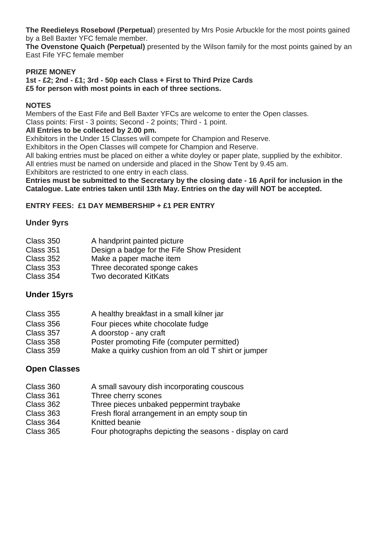**The Reedieleys Rosebowl (Perpetual**) presented by Mrs Posie Arbuckle for the most points gained by a Bell Baxter YFC female member.

**The Ovenstone Quaich (Perpetual)** presented by the Wilson family for the most points gained by an East Fife YFC female member

#### **PRIZE MONEY**

**1st - £2; 2nd - £1; 3rd - 50p each Class + First to Third Prize Cards £5 for person with most points in each of three sections.** 

#### **NOTES**

Members of the East Fife and Bell Baxter YFCs are welcome to enter the Open classes.

Class points: First - 3 points; Second - 2 points; Third - 1 point.

### **All Entries to be collected by 2.00 pm.**

Exhibitors in the Under 15 Classes will compete for Champion and Reserve.

Exhibitors in the Open Classes will compete for Champion and Reserve.

All baking entries must be placed on either a white doyley or paper plate, supplied by the exhibitor.

All entries must be named on underside and placed in the Show Tent by 9.45 am.

Exhibitors are restricted to one entry in each class.

#### **Entries must be submitted to the Secretary by the closing date - 16 April for inclusion in the Catalogue. Late entries taken until 13th May. Entries on the day will NOT be accepted.**

### **ENTRY FEES: £1 DAY MEMBERSHIP + £1 PER ENTRY**

### **Under 9yrs**

| Class 350 | A handprint painted picture                |
|-----------|--------------------------------------------|
| Class 351 | Design a badge for the Fife Show President |
| Class 352 | Make a paper mache item                    |
| Class 353 | Three decorated sponge cakes               |
| Class 354 | Two decorated KitKats                      |

## **Under 15yrs**

| A healthy breakfast in a small kilner jar           |
|-----------------------------------------------------|
| Four pieces white chocolate fudge                   |
| A doorstop - any craft                              |
| Poster promoting Fife (computer permitted)          |
| Make a quirky cushion from an old T shirt or jumper |
|                                                     |

## **Open Classes**

| Class 360 | A small savoury dish incorporating couscous              |
|-----------|----------------------------------------------------------|
| Class 361 | Three cherry scones                                      |
| Class 362 | Three pieces unbaked peppermint traybake                 |
| Class 363 | Fresh floral arrangement in an empty soup tin            |
| Class 364 | Knitted beanie                                           |
| Class 365 | Four photographs depicting the seasons - display on card |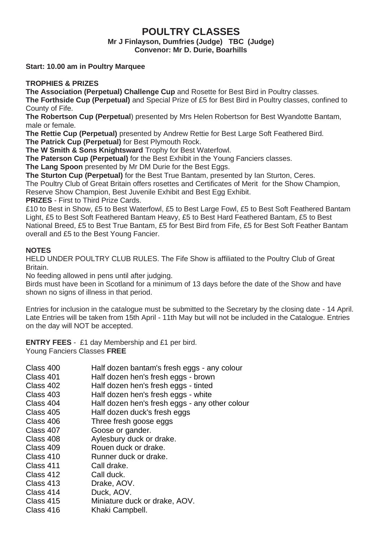## **POULTRY CLASSES**

**Mr J Finlayson, Dumfries (Judge) TBC (Judge) Convenor: Mr D. Durie, Boarhills**

**Start: 10.00 am in Poultry Marquee** 

#### **TROPHIES & PRIZES**

**The Association (Perpetual) Challenge Cup** and Rosette for Best Bird in Poultry classes.

**The Forthside Cup (Perpetual)** and Special Prize of £5 for Best Bird in Poultry classes, confined to County of Fife.

**The Robertson Cup (Perpetual**) presented by Mrs Helen Robertson for Best Wyandotte Bantam, male or female.

**The Rettie Cup (Perpetual)** presented by Andrew Rettie for Best Large Soft Feathered Bird. **The Patrick Cup (Perpetual)** for Best Plymouth Rock.

**The W Smith & Sons Knightsward** Trophy for Best Waterfowl.

**The Paterson Cup (Perpetual)** for the Best Exhibit in the Young Fanciers classes.

**The Lang Spoon** presented by Mr DM Durie for the Best Eggs.

**The Sturton Cup (Perpetual)** for the Best True Bantam, presented by Ian Sturton, Ceres.

The Poultry Club of Great Britain offers rosettes and Certificates of Merit for the Show Champion,

Reserve Show Champion, Best Juvenile Exhibit and Best Egg Exhibit.

**PRIZES** - First to Third Prize Cards.

£10 to Best in Show, £5 to Best Waterfowl, £5 to Best Large Fowl, £5 to Best Soft Feathered Bantam Light, £5 to Best Soft Feathered Bantam Heavy, £5 to Best Hard Feathered Bantam, £5 to Best National Breed, £5 to Best True Bantam, £5 for Best Bird from Fife, £5 for Best Soft Feather Bantam overall and £5 to the Best Young Fancier.

#### **NOTES**

HELD UNDER POULTRY CLUB RULES. The Fife Show is affiliated to the Poultry Club of Great **Britain** 

No feeding allowed in pens until after judging.

Birds must have been in Scotland for a minimum of 13 days before the date of the Show and have shown no signs of illness in that period.

Entries for inclusion in the catalogue must be submitted to the Secretary by the closing date - 14 April. Late Entries will be taken from 15th April - 11th May but will not be included in the Catalogue. Entries on the day will NOT be accepted.

**ENTRY FEES** - £1 day Membership and £1 per bird. Young Fanciers Classes **FREE**

- Class 400 Half dozen bantam's fresh eggs any colour
- Class 401 Half dozen hen's fresh eggs brown
- Class 402 Half dozen hen's fresh eggs tinted
- Class 403 Half dozen hen's fresh eggs white<br>Class 404 Half dozen hen's fresh eggs any o
- Half dozen hen's fresh eggs any other colour
- Class 405 Half dozen duck's fresh eggs
- Class 406 Three fresh goose eggs
- Class 407 Goose or gander.
- Class 408 Aylesbury duck or drake.
- Class 409 Rouen duck or drake.
- Class 410 Runner duck or drake.
- Class 411 Call drake.
- Class 412 Call duck.
- Class 413 Drake, AOV.
- Class 414 Duck, AOV.<br>Class 415 Miniature du
- Miniature duck or drake, AOV.
- Class 416 Khaki Campbell.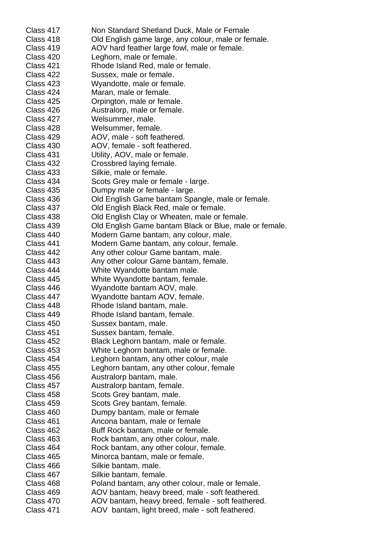| Class 417 | Non Standard Shetland Duck, Male or Female                 |
|-----------|------------------------------------------------------------|
| Class 418 | Old English game large, any colour, male or female.        |
| Class 419 | AOV hard feather large fowl, male or female.               |
| Class 420 | Leghorn, male or female.                                   |
| Class 421 | Rhode Island Red, male or female.                          |
| Class 422 | Sussex, male or female.                                    |
| Class 423 | Wyandotte, male or female.                                 |
| Class 424 | Maran, male or female.                                     |
| Class 425 | Orpington, male or female.                                 |
| Class 426 | Australorp, male or female.                                |
| Class 427 | Welsummer, male.                                           |
| Class 428 | Welsummer, female.                                         |
| Class 429 | AOV, male - soft feathered.                                |
| Class 430 | AOV, female - soft feathered.                              |
| Class 431 | Utility, AOV, male or female.                              |
| Class 432 | Crossbred laying female.                                   |
| Class 433 | Silkie, male or female.                                    |
| Class 434 | Scots Grey male or female - large.                         |
| Class 435 | Dumpy male or female - large.                              |
| Class 436 | Old English Game bantam Spangle, male or female.           |
| Class 437 | Old English Black Red, male or female.                     |
| Class 438 | Old English Clay or Wheaten, male or female.               |
| Class 439 | Old English Game bantam Black or Blue, male or female.     |
| Class 440 | Modern Game bantam, any colour, male.                      |
| Class 441 | Modern Game bantam, any colour, female.                    |
| Class 442 |                                                            |
| Class 443 | Any other colour Game bantam, male.                        |
| Class 444 | Any other colour Game bantam, female.                      |
| Class 445 | White Wyandotte bantam male.                               |
| Class 446 | White Wyandotte bantam, female.                            |
| Class 447 | Wyandotte bantam AOV, male.                                |
|           | Wyandotte bantam AOV, female.                              |
| Class 448 | Rhode Island bantam, male.<br>Rhode Island bantam, female. |
| Class 449 |                                                            |
| Class 450 | Sussex bantam, male.                                       |
| Class 451 | Sussex bantam, female.                                     |
| Class 452 | Black Leghorn bantam, male or female.                      |
| Class 453 | White Leghorn bantam, male or female.                      |
| Class 454 | Leghorn bantam, any other colour, male                     |
| Class 455 | Leghorn bantam, any other colour, female                   |
| Class 456 | Australorp bantam, male.                                   |
| Class 457 | Australorp bantam, female.                                 |
| Class 458 | Scots Grey bantam, male.                                   |
| Class 459 | Scots Grey bantam, female.                                 |
| Class 460 | Dumpy bantam, male or female                               |
| Class 461 | Ancona bantam, male or female                              |
| Class 462 | Buff Rock bantam, male or female.                          |
| Class 463 | Rock bantam, any other colour, male.                       |
| Class 464 | Rock bantam, any other colour, female.                     |
| Class 465 | Minorca bantam, male or female.                            |
| Class 466 | Silkie bantam, male.                                       |
| Class 467 | Silkie bantam, female.                                     |
| Class 468 | Poland bantam, any other colour, male or female.           |
| Class 469 | AOV bantam, heavy breed, male - soft feathered.            |
| Class 470 | AOV bantam, heavy breed, female - soft feathered.          |
| Class 471 | AOV bantam, light breed, male - soft feathered.            |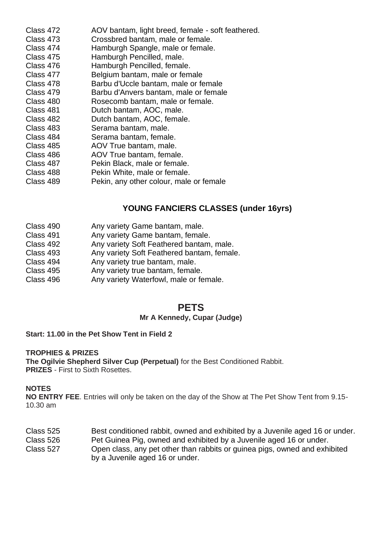| Class 472 | AOV bantam, light breed, female - soft feathered. |
|-----------|---------------------------------------------------|
| Class 473 | Crossbred bantam, male or female.                 |
| Class 474 | Hamburgh Spangle, male or female.                 |
| Class 475 | Hamburgh Pencilled, male.                         |
| Class 476 | Hamburgh Pencilled, female.                       |
| Class 477 | Belgium bantam, male or female                    |
| Class 478 | Barbu d'Uccle bantam, male or female              |
| Class 479 | Barbu d'Anvers bantam, male or female             |
| Class 480 | Rosecomb bantam, male or female.                  |
| Class 481 | Dutch bantam, AOC, male.                          |
| Class 482 | Dutch bantam, AOC, female.                        |
| Class 483 | Serama bantam, male.                              |
| Class 484 | Serama bantam, female,                            |
| Class 485 | AOV True bantam, male.                            |
| Class 486 | AOV True bantam, female.                          |
| Class 487 | Pekin Black, male or female.                      |
| Class 488 | Pekin White, male or female.                      |
| Class 489 | Pekin, any other colour, male or female           |

## **YOUNG FANCIERS CLASSES (under 16yrs)**

- Class 490 Any variety Game bantam, male.
- Class 491 Any variety Game bantam, female.<br>Class 492 Any variety Soft Feathered bantam
- Class 492 Any variety Soft Feathered bantam, male.
- Class 493 Any variety Soft Feathered bantam, female.
- Class 494 Any variety true bantam, male.<br>Class 495 Any variety true bantam female
- Class 495 Any variety true bantam, female.<br>Class 496 Any variety Waterfowl, male or fe
- Any variety Waterfowl, male or female.

## **PETS**

#### **Mr A Kennedy, Cupar (Judge)**

#### **Start: 11.00 in the Pet Show Tent in Field 2**

#### **TROPHIES & PRIZES**

**The Ogilvie Shepherd Silver Cup (Perpetual)** for the Best Conditioned Rabbit. **PRIZES** First to Sixth Rosettes

#### **NOTES**

**NO ENTRY FEE**. Entries will only be taken on the day of the Show at The Pet Show Tent from 9.15- 10.30 am

- Class 525 Best conditioned rabbit, owned and exhibited by a Juvenile aged 16 or under.
- Class 526 Pet Guinea Pig, owned and exhibited by a Juvenile aged 16 or under.<br>Class 527 Open class, any pet other than rabbits or quinea pigs, owned and exh
- Open class, any pet other than rabbits or guinea pigs, owned and exhibited by a Juvenile aged 16 or under.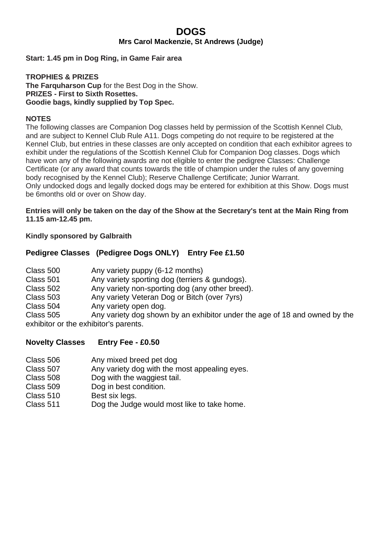### **DOGS Mrs Carol Mackenzie, St Andrews (Judge)**

#### **Start: 1.45 pm in Dog Ring, in Game Fair area**

#### **TROPHIES & PRIZES The Farquharson Cup** for the Best Dog in the Show. **PRIZES - First to Sixth Rosettes. Goodie bags, kindly supplied by Top Spec.**

#### **NOTES**

The following classes are Companion Dog classes held by permission of the Scottish Kennel Club, and are subject to Kennel Club Rule A11. Dogs competing do not require to be registered at the Kennel Club, but entries in these classes are only accepted on condition that each exhibitor agrees to exhibit under the regulations of the Scottish Kennel Club for Companion Dog classes. Dogs which have won any of the following awards are not eligible to enter the pedigree Classes: Challenge Certificate (or any award that counts towards the title of champion under the rules of any governing body recognised by the Kennel Club); Reserve Challenge Certificate; Junior Warrant. Only undocked dogs and legally docked dogs may be entered for exhibition at this Show. Dogs must be 6months old or over on Show day.

**Entries will only be taken on the day of the Show at the Secretary's tent at the Main Ring from 11.15 am-12.45 pm.**

**Kindly sponsored by Galbraith**

#### **Pedigree Classes (Pedigree Dogs ONLY) Entry Fee £1.50**

| Class 500 | Any variety puppy (6-12 months)                                            |
|-----------|----------------------------------------------------------------------------|
| Class 501 | Any variety sporting dog (terriers & gundogs).                             |
| Class 502 | Any variety non-sporting dog (any other breed).                            |
| Class 503 | Any variety Veteran Dog or Bitch (over 7yrs)                               |
| Class 504 | Any variety open dog.                                                      |
| Class 505 | Any variety dog shown by an exhibitor under the age of 18 and owned by the |
|           | exhibitor or the exhibitor's parents.                                      |

#### **Novelty Classes Entry Fee - £0.50**

| Class 506 | Any mixed breed pet dog |
|-----------|-------------------------|
|-----------|-------------------------|

- Class 507 Any variety dog with the most appealing eyes.
- Class 508 Dog with the waggiest tail.
- Class 509 Dog in best condition.
- Class 510 Best six legs.
- Class 511 Dog the Judge would most like to take home.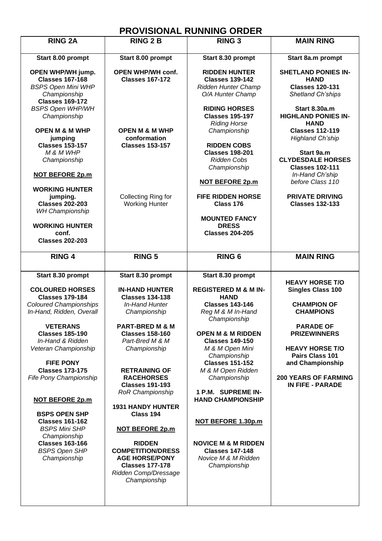## **PROVISIONAL RUNNING ORDER**

|                                                                                                |                                                                                                                                      | <b>PRUVISIUNAL RUNNING URDER</b>                                                                |                                                                                                 |
|------------------------------------------------------------------------------------------------|--------------------------------------------------------------------------------------------------------------------------------------|-------------------------------------------------------------------------------------------------|-------------------------------------------------------------------------------------------------|
| <b>RING 2A</b>                                                                                 | <b>RING 2 B</b>                                                                                                                      | <b>RING 3</b>                                                                                   | <b>MAIN RING</b>                                                                                |
| Start 8.00 prompt                                                                              | Start 8.00 prompt                                                                                                                    | Start 8.30 prompt                                                                               | Start 8a.m prompt                                                                               |
| OPEN WHP/WH jump.<br><b>Classes 167-168</b><br><b>BSPS Open Mini WHP</b><br>Championship       | OPEN WHP/WH conf.<br><b>Classes 167-172</b>                                                                                          | <b>RIDDEN HUNTER</b><br><b>Classes 139-142</b><br>Ridden Hunter Champ<br>O/A Hunter Champ       | <b>SHETLAND PONIES IN-</b><br><b>HAND</b><br><b>Classes 120-131</b><br><b>Shetland Ch'ships</b> |
| <b>Classes 169-172</b><br><b>BSPS Open WHP/WH</b><br>Championship<br><b>OPEN M &amp; M WHP</b> | <b>OPEN M &amp; M WHP</b>                                                                                                            | <b>RIDING HORSES</b><br><b>Classes 195-197</b><br><b>Riding Horse</b><br>Championship           | Start 8.30a.m<br><b>HIGHLAND PONIES IN-</b><br><b>HAND</b><br><b>Classes 112-119</b>            |
| jumping<br><b>Classes 153-157</b><br>M & M WHP<br>Championship                                 | conformation<br><b>Classes 153-157</b>                                                                                               | <b>RIDDEN COBS</b><br><b>Classes 198-201</b><br><b>Ridden Cobs</b><br>Championship              | <b>Highland Ch'ship</b><br>Start 9a.m<br><b>CLYDESDALE HORSES</b><br><b>Classes 102-111</b>     |
| <b>NOT BEFORE 2p.m</b><br><b>WORKING HUNTER</b>                                                |                                                                                                                                      | <b>NOT BEFORE 2p.m</b>                                                                          | In-Hand Ch'ship<br>before Class 110                                                             |
| jumping.<br><b>Classes 202-203</b><br><b>WH Championship</b>                                   | Collecting Ring for<br><b>Working Hunter</b>                                                                                         | <b>FIFE RIDDEN HORSE</b><br>Class 176                                                           | <b>PRIVATE DRIVING</b><br><b>Classes 132-133</b>                                                |
| <b>WORKING HUNTER</b><br>conf.<br><b>Classes 202-203</b>                                       |                                                                                                                                      | <b>MOUNTED FANCY</b><br><b>DRESS</b><br><b>Classes 204-205</b>                                  |                                                                                                 |
|                                                                                                |                                                                                                                                      |                                                                                                 |                                                                                                 |
| <b>RING 4</b>                                                                                  | <b>RING 5</b>                                                                                                                        | RING <sub>6</sub>                                                                               | <b>MAIN RING</b>                                                                                |
|                                                                                                |                                                                                                                                      |                                                                                                 |                                                                                                 |
| Start 8.30 prompt                                                                              | Start 8.30 prompt                                                                                                                    | Start 8.30 prompt                                                                               |                                                                                                 |
| <b>COLOURED HORSES</b><br><b>Classes 179-184</b>                                               | <b>IN-HAND HUNTER</b><br><b>Classes 134-138</b>                                                                                      | <b>REGISTERED M &amp; M IN-</b><br><b>HAND</b>                                                  | <b>HEAVY HORSE T/O</b><br>Singles Class 100                                                     |
| Coloured Championships<br>In-Hand, Ridden, Overall                                             | In-Hand Hunter<br>Championship                                                                                                       | <b>Classes 143-146</b><br>Reg M & M In-Hand                                                     | <b>CHAMPION OF</b><br><b>CHAMPIONS</b>                                                          |
| <b>VETERANS</b><br><b>Classes 185-190</b>                                                      | PART-BRED M & M<br><b>Classes 158-160</b>                                                                                            | Championship<br><b>OPEN M &amp; M RIDDEN</b>                                                    | <b>PARADE OF</b><br><b>PRIZEWINNERS</b>                                                         |
| In-Hand & Ridden<br>Veteran Championship                                                       | Part-Bred M & M<br>Championship                                                                                                      | <b>Classes 149-150</b><br>M & M Open Mini<br>Championship                                       | <b>HEAVY HORSE T/O</b><br>Pairs Class 101                                                       |
| <b>FIFE PONY</b><br><b>Classes 173-175</b><br>Fife Pony Championship                           | <b>RETRAINING OF</b><br><b>RACEHORSES</b><br><b>Classes 191-193</b>                                                                  | <b>Classes 151-152</b><br>M & M Open Ridden<br>Championship                                     | and Championship<br><b>200 YEARS OF FARMING</b><br>IN FIFE - PARADE                             |
| <b>NOT BEFORE 2p.m</b>                                                                         | RoR Championship                                                                                                                     | 1 P.M. SUPREME IN-<br><b>HAND CHAMPIONSHIP</b>                                                  |                                                                                                 |
| <b>BSPS OPEN SHP</b><br><b>Classes 161-162</b><br><b>BSPS Mini SHP</b>                         | <b>1931 HANDY HUNTER</b><br>Class 194<br><b>NOT BEFORE 2p.m</b>                                                                      | NOT BEFORE 1.30p.m                                                                              |                                                                                                 |
| Championship<br><b>Classes 163-166</b><br><b>BSPS Open SHP</b><br>Championship                 | <b>RIDDEN</b><br><b>COMPETITION/DRESS</b><br><b>AGE HORSE/PONY</b><br><b>Classes 177-178</b><br>Ridden Comp/Dressage<br>Championship | <b>NOVICE M &amp; M RIDDEN</b><br><b>Classes 147-148</b><br>Novice M & M Ridden<br>Championship |                                                                                                 |